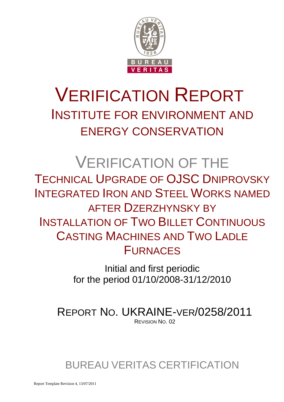

# VERIFICATION REPORT INSTITUTE FOR ENVIRONMENT AND ENERGY CONSERVATION

# VERIFICATION OF THE TECHNICAL UPGRADE OF OJSC DNIPROVSKY INTEGRATED IRON AND STEEL WORKS NAMED AFTER DZERZHYNSKY BY INSTALLATION OF TWO BILLET CONTINUOUS CASTING MACHINES AND TWO LADLE FURNACES

Initial and first periodic for the period 01/10/2008-31/12/2010

REPORT NO. UKRAINE-VER/0258/2011 REVISION NO. 02

# BUREAU VERITAS CERTIFICATION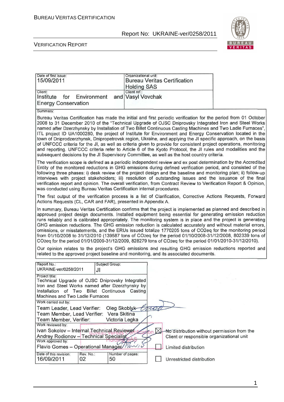

| Date of first issue:                                                                                                                                                                   | Organizational unit:                                                                                                                                                                                                                                                                                                                                                                                                                                                                                                                                                                                                                                                                                                                                                                                                                                                                                                                                                                            |
|----------------------------------------------------------------------------------------------------------------------------------------------------------------------------------------|-------------------------------------------------------------------------------------------------------------------------------------------------------------------------------------------------------------------------------------------------------------------------------------------------------------------------------------------------------------------------------------------------------------------------------------------------------------------------------------------------------------------------------------------------------------------------------------------------------------------------------------------------------------------------------------------------------------------------------------------------------------------------------------------------------------------------------------------------------------------------------------------------------------------------------------------------------------------------------------------------|
| 15/09/2011                                                                                                                                                                             | <b>Bureau Veritas Certification</b>                                                                                                                                                                                                                                                                                                                                                                                                                                                                                                                                                                                                                                                                                                                                                                                                                                                                                                                                                             |
| Client:                                                                                                                                                                                | <b>Holding SAS</b><br>Client ref.:                                                                                                                                                                                                                                                                                                                                                                                                                                                                                                                                                                                                                                                                                                                                                                                                                                                                                                                                                              |
| Institute<br>for<br>Environment                                                                                                                                                        | and Vasyl Vovchak                                                                                                                                                                                                                                                                                                                                                                                                                                                                                                                                                                                                                                                                                                                                                                                                                                                                                                                                                                               |
| <b>Energy Conservation</b>                                                                                                                                                             |                                                                                                                                                                                                                                                                                                                                                                                                                                                                                                                                                                                                                                                                                                                                                                                                                                                                                                                                                                                                 |
| Summary:                                                                                                                                                                               |                                                                                                                                                                                                                                                                                                                                                                                                                                                                                                                                                                                                                                                                                                                                                                                                                                                                                                                                                                                                 |
|                                                                                                                                                                                        | Bureau Veritas Certification has made the initial and first periodic verification for the period from 01 October<br>2008 to 31 December 2010 of the "Technical Upgrade of OJSC Dniprovsky Integrated Iron and Steel Works<br>named after Dzerzhynsky by Installation of Two Billet Continuous Casting Machines and Two Ladle Furnaces",<br>ITL project ID UA1000280, the project of Institute for Environment and Energy Conservation located in the<br>town of Dniprodzerzhynsk, Dnipropetrovsk region, Ukraine, and applying the JI specific approach, on the basis<br>of UNFCCC criteria for the JI, as well as criteria given to provide for consistent project operations, monitoring<br>and reporting. UNFCCC criteria refer to Article 6 of the Kyoto Protocol, the JI rules and modalities and the<br>subsequent decisions by the JI Supervisory Committee, as well as the host country criteria.                                                                                       |
| was conducted using Bureau Veritas Certification internal procedures.                                                                                                                  | The verification scope is defined as a periodic independent review and ex post determination by the Accredited<br>Entity of the monitored reductions in GHG emissions during defined verification period, and consisted of the<br>following three phases: i) desk review of the project design and the baseline and monitoring plan; ii) follow-up<br>interviews with project stakeholders; iii) resolution of outstanding issues and the issuance of the final<br>verification report and opinion. The overall verification, from Contract Review to Verification Report & Opinion,                                                                                                                                                                                                                                                                                                                                                                                                            |
| Actions Requests (CL, CAR and FAR), presented in Appendix A.                                                                                                                           | The first output of the verification process is a list of Clarification, Corrective Actions Requests, Forward                                                                                                                                                                                                                                                                                                                                                                                                                                                                                                                                                                                                                                                                                                                                                                                                                                                                                   |
|                                                                                                                                                                                        | In summary, Bureau Veritas Certification confirms that the project is implemented as planned and described in<br>approved project design documents. Installed equipment being essential for generating emission reduction<br>runs reliably and is calibrated appropriately. The monitoring system is in place and the project is generating<br>GHG emission reductions. The GHG emission reduction is calculated accurately and without material errors,<br>omissions, or misstatements, and the ERUs issued totalize 1770205 tons of CO2eq for the monitoring period<br>from 01/10/2008 to 31/12/2010 (139587 tons of CO2eq for the period 01/10/2008-31/12/2008, 802339 tons of<br>CO2eq for the period 01/01/2009-31/12/2009, 828279 tons of CO2eq for the period 01/01/2010-31/12/2010).<br>Our opinion relates to the project's GHG emissions and resulting GHG emission reductions reported and<br>related to the approved project baseline and monitoring, and its associated documents. |
| Report No.:<br>Subject Group:<br>UKRAINE-ver/0258/2011                                                                                                                                 |                                                                                                                                                                                                                                                                                                                                                                                                                                                                                                                                                                                                                                                                                                                                                                                                                                                                                                                                                                                                 |
| JI<br>Project title:                                                                                                                                                                   |                                                                                                                                                                                                                                                                                                                                                                                                                                                                                                                                                                                                                                                                                                                                                                                                                                                                                                                                                                                                 |
| Technical Upgrade of OJSC Dniprovsky Integrated<br>Iron and Steel Works named after Dzerzhynsky by<br>Installation of Two Billet Continuous Casting<br>Machines and Two Ladle Furnaces |                                                                                                                                                                                                                                                                                                                                                                                                                                                                                                                                                                                                                                                                                                                                                                                                                                                                                                                                                                                                 |
| Work carried out by:                                                                                                                                                                   |                                                                                                                                                                                                                                                                                                                                                                                                                                                                                                                                                                                                                                                                                                                                                                                                                                                                                                                                                                                                 |
| Team Leader, Lead Verifier:<br>Oleg Skoblyk<br>Vera Skitina                                                                                                                            | re                                                                                                                                                                                                                                                                                                                                                                                                                                                                                                                                                                                                                                                                                                                                                                                                                                                                                                                                                                                              |
| Team Member, Lead Verifier:<br>Victoria Legka<br>Team Member, Verifier:                                                                                                                |                                                                                                                                                                                                                                                                                                                                                                                                                                                                                                                                                                                                                                                                                                                                                                                                                                                                                                                                                                                                 |
| Work reviewed by:                                                                                                                                                                      |                                                                                                                                                                                                                                                                                                                                                                                                                                                                                                                                                                                                                                                                                                                                                                                                                                                                                                                                                                                                 |
| Ivan Sokolov - Internal Technical Reviewer<br>Andrey Rodionov - Technical Specialist<br>Work approved by:                                                                              | No distribution without permission from the<br>Client or responsible organizational unit                                                                                                                                                                                                                                                                                                                                                                                                                                                                                                                                                                                                                                                                                                                                                                                                                                                                                                        |
| Flavio Gomes - Operational Manager////                                                                                                                                                 | Limited distribution                                                                                                                                                                                                                                                                                                                                                                                                                                                                                                                                                                                                                                                                                                                                                                                                                                                                                                                                                                            |
| Date of this revision:<br>Rev. No.:<br>16/09/2011<br>02<br>50                                                                                                                          | Number of pages:<br>Unrestricted distribution                                                                                                                                                                                                                                                                                                                                                                                                                                                                                                                                                                                                                                                                                                                                                                                                                                                                                                                                                   |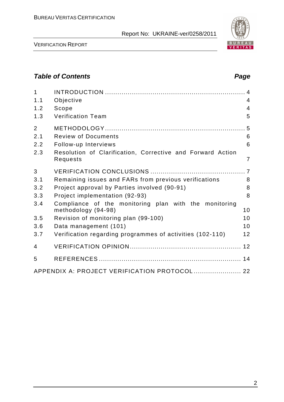

VERIFICATION REPORT

# **Table of Contents Page 2018**

| $\mathbf{1}$<br>1.1<br>1.2<br>1.3 | Objective<br>Scope<br><b>Verification Team</b>                               | $\overline{4}$<br>$\overline{4}$<br>5 |
|-----------------------------------|------------------------------------------------------------------------------|---------------------------------------|
|                                   |                                                                              |                                       |
| $\overline{2}$                    |                                                                              |                                       |
| 2.1                               | <b>Review of Documents</b>                                                   | 6                                     |
| 2.2                               | Follow-up Interviews                                                         | 6                                     |
| 2.3                               | Resolution of Clarification, Corrective and Forward Action<br>Requests       | $\overline{7}$                        |
| 3                                 |                                                                              |                                       |
| 3.1                               | Remaining issues and FARs from previous verifications                        | 8                                     |
| 3.2                               | Project approval by Parties involved (90-91)                                 | 8                                     |
| 3.3                               | Project implementation (92-93)                                               | 8                                     |
| 3.4                               | Compliance of the monitoring plan with the monitoring<br>methodology (94-98) | 10                                    |
| 3.5                               | Revision of monitoring plan (99-100)                                         | 10                                    |
| 3.6                               | Data management (101)                                                        | 10                                    |
| 3.7                               | Verification regarding programmes of activities (102-110)                    | 12                                    |
| 4                                 |                                                                              |                                       |
| 5                                 |                                                                              |                                       |
|                                   | APPENDIX A: PROJECT VERIFICATION PROTOCOL  22                                |                                       |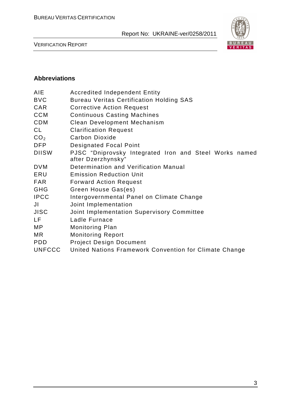

VERIFICATION REPORT

# **Abbreviations**

| <b>Accredited Independent Entity</b>                                         |
|------------------------------------------------------------------------------|
| <b>Bureau Veritas Certification Holding SAS</b>                              |
| <b>Corrective Action Request</b>                                             |
| <b>Continuous Casting Machines</b>                                           |
| <b>Clean Development Mechanism</b>                                           |
| <b>Clarification Request</b>                                                 |
| <b>Carbon Dioxide</b>                                                        |
| <b>Designated Focal Point</b>                                                |
| PJSC "Dniprovsky Integrated Iron and Steel Works named<br>after Dzerzhynsky" |
| Determination and Verification Manual                                        |
| <b>Emission Reduction Unit</b>                                               |
| <b>Forward Action Request</b>                                                |
| Green House Gas(es)                                                          |
| Intergovernmental Panel on Climate Change                                    |
| Joint Implementation                                                         |
| Joint Implementation Supervisory Committee                                   |
| Ladle Furnace                                                                |
| <b>Monitoring Plan</b>                                                       |
| <b>Monitoring Report</b>                                                     |
| <b>Project Design Document</b>                                               |
| United Nations Framework Convention for Climate Change                       |
|                                                                              |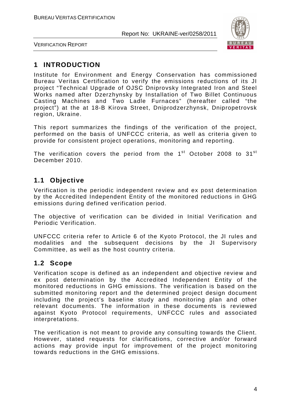

VERIFICATION REPORT

# **1 INTRODUCTION**

Institute for Environment and Energy Conservation has commissioned Bureau Veritas Certification to verify the emissions reductions of its JI project "Technical Upgrade of OJSC Dniprovsky Integrated Iron and Steel Works named after Dzerzhynsky by Installation of Two Billet Continuous Casting Machines and Two Ladle Furnaces" (hereafter called "the project") at the at 18-B Kirova Street, Dniprodzerzhynsk, Dnipropetrovsk region, Ukraine.

This report summarizes the findings of the verification of the project, performed on the basis of UNFCCC criteria, as well as criteria given to provide for consistent project operations, monitoring and reporting.

The verification covers the period from the 1<sup>st</sup> October 2008 to 31<sup>st</sup> December 2010.

# **1.1 Objective**

Verification is the periodic independent review and ex post determination by the Accredited Independent Entity of the monitored reductions in GHG emissions during defined verification period.

The objective of verification can be divided in Initial Verification and Periodic Verification.

UNFCCC criteria refer to Article 6 of the Kyoto Protocol, the JI rules and modalities and the subsequent decisions by the JI Supervisory Committee, as well as the host country criteria.

# **1.2 Scope**

Verification scope is defined as an independent and objective review and ex post determination by the Accredited Independent Entity of the monitored reductions in GHG emissions. The verification is based on the submitted monitoring report and the determined project design document including the project's baseline study and monitoring plan and other relevant documents. The information in these documents is reviewed against Kyoto Protocol requirements, UNFCCC rules and associated interpretations.

The verification is not meant to provide any consulting towards the Client. However, stated requests for clarifications, corrective and/or forward actions may provide input for improvement of the project monitoring towards reductions in the GHG emissions.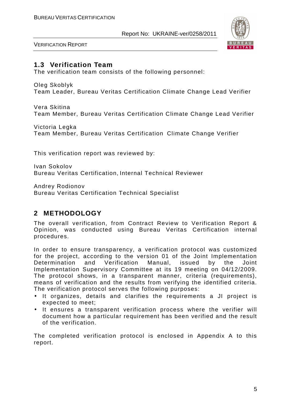

VERIFICATION REPORT

### **1.3 Verification Team**

The verification team consists of the following personnel:

Oleg Skoblyk

Team Leader, Bureau Veritas Certification Climate Change Lead Verifier

Vera Skitina Team Member, Bureau Veritas Certification Climate Change Lead Verifier

Victoria Legka Team Member, Bureau Veritas Certification Climate Change Verifier

This verification report was reviewed by:

Ivan Sokolov Bureau Veritas Certification, Internal Technical Reviewer

Andrey Rodionov Bureau Veritas Certification Technical Specialist

# **2 METHODOLOGY**

The overall verification, from Contract Review to Verification Report & Opinion, was conducted using Bureau Veritas Certification internal procedures.

In order to ensure transparency, a verification protocol was customized for the project, according to the version 01 of the Joint Implementation Determination and Verification Manual, issued by the Joint Implementation Supervisory Committee at its 19 meeting on 04/12/2009. The protocol shows, in a transparent manner, criteria (requirements), means of verification and the results from verifying the identified criteria. The verification protocol serves the following purposes:

- It organizes, details and clarifies the requirements a JI project is expected to meet;
- It ensures a transparent verification process where the verifier will document how a particular requirement has been verified and the result of the verification.

The completed verification protocol is enclosed in Appendix A to this report.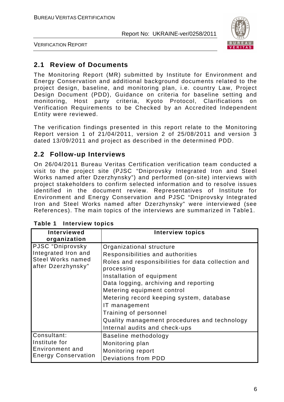

VERIFICATION REPORT

# **2.1 Review of Documents**

The Monitoring Report (MR) submitted by Institute for Environment and Energy Conservation and additional background documents related to the project design, baseline, and monitoring plan, i.e. country Law, Project Design Document (PDD), Guidance on criteria for baseline setting and monitoring, Host party criteria, Kyoto Protocol, Clarifications on Verification Requirements to be Checked by an Accredited Independent Entity were reviewed.

The verification findings presented in this report relate to the Monitoring Report version 1 of 21/04/2011, version 2 of 25/08/2011 and version 3 dated 13/09/2011 and project as described in the determined PDD.

# **2.2 Follow-up Interviews**

On 26/04/2011 Bureau Veritas Certification verification team conducted a visit to the project site (PJSC "Dniprovsky Integrated Iron and Steel Works named after Dzerzhynsky") and performed (on-site) interviews with project stakeholders to confirm selected information and to resolve issues identified in the document review. Representatives of Institute for Environment and Energy Conservation and PJSC "Dniprovsky Integrated Iron and Steel Works named after Dzerzhynsky" were interviewed (see References). The main topics of the interviews are summarized in Table1.

| <b>Interviewed</b><br>organization                                                        | <b>Interview topics</b>                                                                                                                                                                                                                                                                                                                                                                                     |
|-------------------------------------------------------------------------------------------|-------------------------------------------------------------------------------------------------------------------------------------------------------------------------------------------------------------------------------------------------------------------------------------------------------------------------------------------------------------------------------------------------------------|
| PJSC "Dniprovsky<br>Integrated Iron and<br><b>Steel Works named</b><br>after Dzerzhynsky" | Organizational structure<br>Responsibilities and authorities<br>Roles and responsibilities for data collection and<br>processing<br>Installation of equipment<br>Data logging, archiving and reporting<br>Metering equipment control<br>Metering record keeping system, database<br>IT management<br>Training of personnel<br>Quality management procedures and technology<br>Internal audits and check-ups |
| Consultant:<br>Institute for<br>Environment and<br><b>Energy Conservation</b>             | Baseline methodology<br>Monitoring plan<br>Monitoring report<br>Deviations from PDD                                                                                                                                                                                                                                                                                                                         |

|  | Table 1 | <b>Interview topics</b> |  |
|--|---------|-------------------------|--|
|--|---------|-------------------------|--|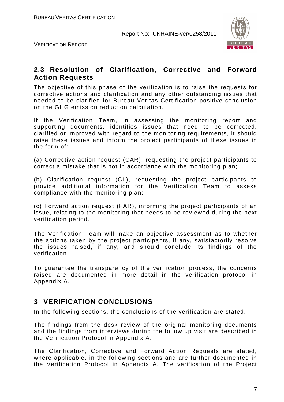

VERIFICATION REPORT

# **2.3 Resolution of Clarification, Corrective and Forward Action Requests**

The objective of this phase of the verification is to raise the requests for corrective actions and clarification and any other outstanding issues that needed to be clarified for Bureau Veritas Certification positive conclusion on the GHG emission reduction calculation.

If the Verification Team, in assessing the monitoring report and supporting documents, identifies issues that need to be corrected, clarified or improved with regard to the monitoring requirements, it should raise these issues and inform the project participants of these issues in the form of:

(a) Corrective action request (CAR), requesting the project participants to correct a mistake that is not in accordance with the monitoring plan;

(b) Clarification request (CL), requesting the project participants to provide additional information for the Verification Team to assess compliance with the monitoring plan;

(c) Forward action request (FAR), informing the project participants of an issue, relating to the monitoring that needs to be reviewed during the next verification period.

The Verification Team will make an objective assessment as to whether the actions taken by the project participants, if any, satisfactorily resolve the issues raised, if any, and should conclude its findings of the verification.

To guarantee the transparency of the verification process, the concerns raised are documented in more detail in the verification protocol in Appendix A.

# **3 VERIFICATION CONCLUSIONS**

In the following sections, the conclusions of the verification are stated.

The findings from the desk review of the original monitoring documents and the findings from interviews during the follow up visit are described in the Verification Protocol in Appendix A.

The Clarification, Corrective and Forward Action Requests are stated, where applicable, in the following sections and are further documented in the Verification Protocol in Appendix A. The verification of the Project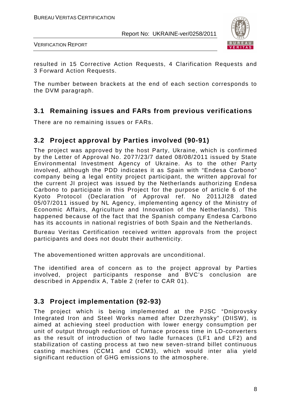

VERIFICATION REPORT

resulted in 15 Corrective Action Requests, 4 Clarification Requests and 3 Forward Action Requests.

The number between brackets at the end of each section corresponds to the DVM paragraph.

# **3.1 Remaining issues and FARs from previous verifications**

There are no remaining issues or FARs.

# **3.2 Project approval by Parties involved (90-91)**

The project was approved by the host Party, Ukraine, which is confirmed by the Letter of Approval No. 2077/23/7 dated 08/08/2011 issued by State Environmental Investment Agency of Ukraine. As to the other Party involved, although the PDD indicates it as Spain with "Endesa Carbono" company being a legal entity project participant, the written approval for the current JI project was issued by the Netherlands authorizing Endesa Carbono to participate in this Project for the purpose of article 6 of the Kyoto Protocol (Declaration of Approval ref. No 2011JI28 dated 05/07/2011 issued by NL Agency, implementing agency of the Ministry of Economic Affairs, Agriculture and Innovation of the Netherlands). This happened because of the fact that the Spanish company Endesa Carbono has its accounts in national registries of both Spain and the Netherlands.

Bureau Veritas Certification received written approvals from the project participants and does not doubt their authenticity.

The abovementioned written approvals are unconditional.

The identified area of concern as to the project approval by Parties involved, project participants response and BVC's conclusion are described in Appendix A, Table 2 (refer to CAR 01).

# **3.3 Project implementation (92-93)**

The project which is being implemented at the PJSC "Dniprovsky Integrated Iron and Steel Works named after Dzerzhynsky" (DIISW), is aimed at achieving steel production with lower energy consumption per unit of output through reduction of furnace process time in LD-converters as the result of introduction of two ladle furnaces (LF1 and LF2) and stabilization of casting process at two new seven-strand billet continuous casting machines (CCM1 and CCM3), which would inter alia yield significant reduction of GHG emissions to the atmosphere.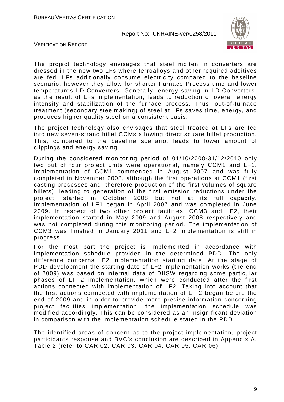

VERIFICATION REPORT

The project technology envisages that steel molten in converters are dressed in the new two LFs where ferroalloys and other required additives are fed. LFs additionally consume electricity compared to the baseline scenario, however they allow for shorter Furnace Process time and lower temperatures LD-Converters. Generally, energy saving in LD-Converters, as the result of LFs implementation, leads to reduction of overall energy intensity and stabilization of the furnace process. Thus, out-of-furnace treatment (secondary steelmaking) of steel at LFs saves time, energy, and produces higher quality steel on a consistent basis.

The project technology also envisages that steel treated at LFs are fed into new seven-strand billet CCMs allowing direct square billet production. This, compared to the baseline scenario, leads to lower amount of clippings and energy saving.

During the considered monitoring period of 01/10/2008-31/12/2010 only two out of four project units were operational, namely CCM1 and LF1. Implementation of CCM1 commenced in August 2007 and was fully completed in November 2008, although the first operations at CCM1 (first casting processes and, therefore production of the first volumes of square billets), leading to generation of the first emission reductions under the project, started in October 2008 but not at its full capacity. Implementation of LF1 began in April 2007 and was completed in June 2009. In respect of two other project facilities, CCM3 and LF2, their implementation started in May 2009 and August 2008 respectively and was not completed during this monitoring period. The implementation of CCM3 was finished in January 2011 and LF2 implementation is still in progress.

For the most part the project is implemented in accordance with implementation schedule provided in the determined PDD. The only difference concerns LF2 implementation starting date. At the stage of PDD development the starting date of LF2 implementation works (the end of 2009) was based on internal data of DIISW regarding some particular phases of LF 2 implementation, which were conducted after the first actions connected with implementation of LF2. Taking into account that the first actions connected with implementation of LF 2 began before the end of 2009 and in order to provide more precise information concerning project facilities implementation, the implementation schedule was modified accordingly. This can be considered as an insignificant deviation in comparison with the implementation schedule stated in the PDD.

The identified areas of concern as to the project implementation, project participants response and BVC's conclusion are described in Appendix A, Table 2 (refer to CAR 02, CAR 03, CAR 04, CAR 05, CAR 06).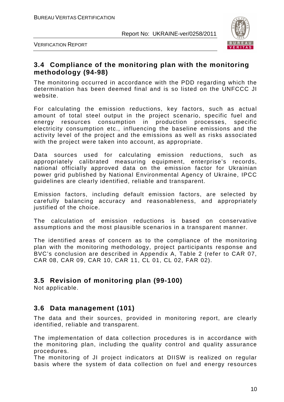

VERIFICATION REPORT

# **3.4 Compliance of the monitoring plan with the monitoring methodology (94-98)**

The monitoring occurred in accordance with the PDD regarding which the determination has been deemed final and is so listed on the UNFCCC JI website.

For calculating the emission reductions, key factors, such as actual amount of total steel output in the project scenario, specific fuel and energy resources consumption in production processes, specific electricity consumption etc., influencing the baseline emissions and the activity level of the project and the emissions as well as risks associated with the project were taken into account, as appropriate.

Data sources used for calculating emission reductions, such as appropriately calibrated measuring equipment, enterprise's records, national officially approved data on the emission factor for Ukrainian power grid published by National Environmental Agency of Ukraine, IPCC guidelines are clearly identified, reliable and transparent.

Emission factors, including default emission factors, are selected by carefully balancing accuracy and reasonableness, and appropriately justified of the choice.

The calculation of emission reductions is based on conservative assumptions and the most plausible scenarios in a transparent manner.

The identified areas of concern as to the compliance of the monitoring plan with the monitoring methodology, project participants response and BVC's conclusion are described in Appendix A, Table 2 (refer to CAR 07, CAR 08, CAR 09, CAR 10, CAR 11, CL 01, CL 02, FAR 02).

# **3.5 Revision of monitoring plan (99-100)**

Not applicable.

# **3.6 Data management (101)**

The data and their sources, provided in monitoring report, are clearly identified, reliable and transparent.

The implementation of data collection procedures is in accordance with the monitoring plan, including the quality control and quality assurance procedures.

The monitoring of JI project indicators at DIISW is realized on regular basis where the system of data collection on fuel and energy resources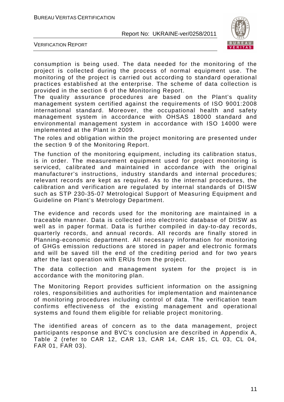

VERIFICATION REPORT

consumption is being used. The data needed for the monitoring of the project is collected during the process of normal equipment use. The monitoring of the project is carried out according to standard operational practices established at the enterprise. The scheme of data collection is provided in the section 6 of the Monitoring Report.

The quality assurance procedures are based on the Plant's quality management system certified against the requirements of ISО 9001:2008 international standard. Moreover, the occupational health and safety management system in accordance with OHSAS 18000 standard and environmental management system in accordance with ISO 14000 were implemented at the Plant in 2009.

The roles and obligation within the project monitoring are presented under the section 9 of the Monitoring Report.

The function of the monitoring equipment, including its calibration status, is in order. The measurement equipment used for project monitoring is serviced, calibrated and maintained in accordance with the original manufacturer's instructions, industry standards and internal procedures; relevant records are kept as required. As to the internal procedures, the calibration and verification are regulated by internal standards of DIISW such as STP 230-35-07 Metrological Support of Measuring Equipment and Guideline on Plant's Metrology Department.

The evidence and records used for the monitoring are maintained in a traceable manner. Data is collected into electronic database of DIISW as well as in paper format. Data is further compiled in day-to-day records, quarterly records, and annual records. All records are finally stored in Planning-economic department. All necessary information for monitoring of GHGs emission reductions are stored in paper and electronic formats and will be saved till the end of the crediting period and for two years after the last operation with ERUs from the project.

The data collection and management system for the project is in accordance with the monitoring plan.

The Monitoring Report provides sufficient information on the assigning roles, responsibilities and authorities for implementation and maintenance of monitoring procedures including control of data. The verification team confirms effectiveness of the existing management and operational systems and found them eligible for reliable project monitoring.

The identified areas of concern as to the data management, project participants response and BVC's conclusion are described in Appendix A, Table 2 (refer to CAR 12, CAR 13, CAR 14, CAR 15, CL 03, CL 04, FAR 01, FAR 03).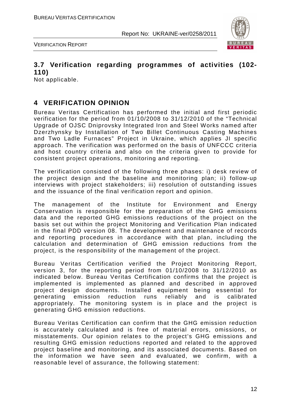

VERIFICATION REPORT

# **3.7 Verification regarding programmes of activities (102- 110)**

Not applicable.

# **4 VERIFICATION OPINION**

Bureau Veritas Certification has performed the initial and first periodic verification for the period from 01/10/2008 to 31/12/2010 of the "Technical Upgrade of OJSC Dniprovsky Integrated Iron and Steel Works named after Dzerzhynsky by Installation of Two Billet Continuous Casting Machines and Two Ladle Furnaces" Project in Ukraine, which applies JI specific approach. The verification was performed on the basis of UNFCCC criteria and host country criteria and also on the criteria given to provide for consistent project operations, monitoring and reporting.

The verification consisted of the following three phases: i) desk review of the project design and the baseline and monitoring plan; ii) follow-up interviews with project stakeholders; iii) resolution of outstanding issues and the issuance of the final verification report and opinion.

The management of the Institute for Environment and Energy Conservation is responsible for the preparation of the GHG emissions data and the reported GHG emissions reductions of the project on the basis set out within the project Monitoring and Verification Plan indicated in the final PDD version 08. The development and maintenance of records and reporting procedures in accordance with that plan, including the calculation and determination of GHG emission reductions from the project, is the responsibility of the management of the project.

Bureau Veritas Certification verified the Project Monitoring Report, version 3, for the reporting period from 01/10/2008 to 31/12/2010 as indicated below. Bureau Veritas Certification confirms that the project is implemented is implemented as planned and described in approved project design documents. Installed equipment being essential for generating emission reduction runs reliably and is calibrated appropriately. The monitoring system is in place and the project is generating GHG emission reductions.

Bureau Veritas Certification can confirm that the GHG emission reduction is accurately calculated and is free of material errors, omissions, or misstatements. Our opinion relates to the project's GHG emissions and resulting GHG emission reductions reported and related to the approved project baseline and monitoring, and its associated documents. Based on the information we have seen and evaluated, we confirm, with a reasonable level of assurance, the following statement: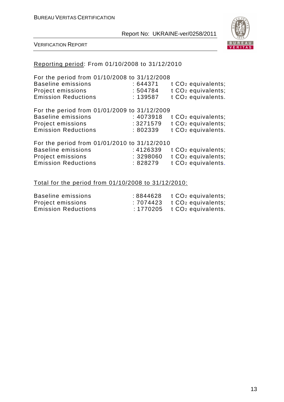

VERIFICATION REPORT

# Reporting period: From 01/10/2008 to 31/12/2010

| For the period from 01/10/2008 to 31/12/2008<br><b>Baseline emissions</b><br>Project emissions<br><b>Emission Reductions</b> | :644371<br>:504784<br>: 139587    | t CO <sub>2</sub> equivalents;<br>t CO <sub>2</sub> equivalents;<br>t CO <sub>2</sub> equivalents. |
|------------------------------------------------------------------------------------------------------------------------------|-----------------------------------|----------------------------------------------------------------------------------------------------|
| For the period from 01/01/2009 to 31/12/2009<br>Baseline emissions<br>Project emissions<br><b>Emission Reductions</b>        | : 4073918<br>: 3271579<br>:802339 | t CO <sub>2</sub> equivalents;<br>t CO <sub>2</sub> equivalents;<br>t CO <sub>2</sub> equivalents. |
| For the period from 01/01/2010 to 31/12/2010<br><b>Baseline emissions</b><br>Project emissions<br><b>Emission Reductions</b> | : 4126339<br>: 3298060<br>:828279 | t CO <sub>2</sub> equivalents;<br>t CO <sub>2</sub> equivalents;<br>t CO <sub>2</sub> equivalents. |
| Total for the period from 01/10/2008 to 31/12/2010:                                                                          |                                   |                                                                                                    |

| Baseline emissions         | $: 8844628$ t $CO2$ equivalents; |
|----------------------------|----------------------------------|
| Project emissions          | $: 7074423$ t $CO2$ equivalents; |
| <b>Emission Reductions</b> | $: 1770205$ t $CO2$ equivalents. |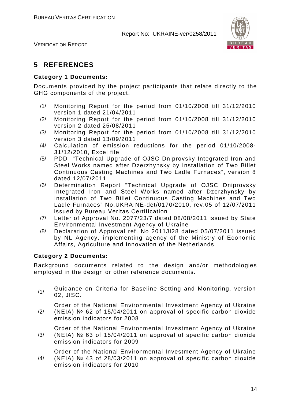

VERIFICATION REPORT

# **5 REFERENCES**

#### **Category 1 Documents:**

Documents provided by the project participants that relate directly to the GHG components of the project.

- /1/ Monitoring Report for the period from 01/10/2008 till 31/12/2010 version 1 dated 21/04/2011
- /2/ Monitoring Report for the period from 01/10/2008 till 31/12/2010 version 2 dated 25/08/2011
- /3/ Monitoring Report for the period from 01/10/2008 till 31/12/2010 version 3 dated 13/09/2011
- /4/ Calculation of emission reductions for the period 01/10/2008- 31/12/2010, Excel file
- /5/ PDD "Technical Upgrade of OJSC Dniprovsky Integrated Iron and Steel Works named after Dzerzhynsky by Installation of Two Billet Continuous Casting Machines and Two Ladle Furnaces", version 8 dated 12/07/2011
- /6/ Determination Report "Technical Upgrade of OJSC Dniprovsky Integrated Iron and Steel Works named after Dzerzhynsky by Installation of Two Billet Continuous Casting Machines and Two Ladle Furnaces" No.UKRAINE-det/0170/2010, rev.05 of 12/07/2011 issued by Bureau Veritas Certification
- /7/ Letter of Approval No. 2077/23/7 dated 08/08/2011 issued by State Environmental Investment Agency of Ukraine
- /8/ Declaration of Approval ref. No 2011JI28 dated 05/07/2011 issued by NL Agency, implementing agency of the Ministry of Economic Affairs, Agriculture and Innovation of the Netherlands

#### **Category 2 Documents:**

Background documents related to the design and/or methodologies employed in the design or other reference documents.

/1/ Guidance on Criteria for Baseline Setting and Monitoring, version 02, JISC.

Order of the National Environmental Investment Agency of Ukraine

/2/ (NEIA) № 62 of 15/04/2011 on approval of specific carbon dioxide emission indicators for 2008

Order of the National Environmental Investment Agency of Ukraine

/3/ (NEIA) № 63 of 15/04/2011 on approval of specific carbon dioxide emission indicators for 2009

/4/ Order of the National Environmental Investment Agency of Ukraine (NEIA) № 43 of 28/03/2011 on approval of specific carbon dioxide emission indicators for 2010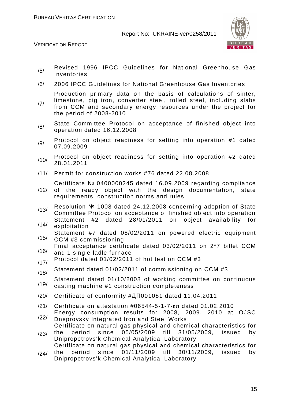

VERIFICATION REPORT

- /5/ Revised 1996 IPCC Guidelines for National Greenhouse Gas Inventories
- /6/ 2006 IPCC Guidelines for National Greenhouse Gas Inventories

Production primary data on the basis of calculations of sinter,

- /7/ limestone, pig iron, converter steel, rolled steel, including slabs from CCM and secondary energy resources under the project for the period of 2008-2010
- /8/ State Committee Protocol on acceptance of finished object into operation dated 16.12.2008
- /9/ Protocol on object readiness for setting into operation #1 dated 07.09.2009
- /10/ Protocol on object readiness for setting into operation #2 dated 28.01.2011
- /11/ Permit for construction works #76 dated 22.08.2008

Certificate № 0400000245 dated 16.09.2009 regarding compliance

- /12/ of the ready object with the design documentation, state requirements, construction norms and rules
- /13/ Resolution № 1008 dated 24.12.2008 concerning adoption of State Committee Protocol on acceptance of finished object into operation Statement #2 dated 28/01/2011 on object availability for
- /14/ exploitation Statement #7 dated 08/02/2011 on powered electric equipment
- /15/ CCM #3 commissioning
- /16/ Final acceptance certificate dated 03/02/2011 on 2\*7 billet CCM and 1 single ladle furnace
- $/17/$  Protocol dated 01/02/2011 of hot test on CCM #3
- $/18/$  Statement dated 01/02/2011 of commissioning on CCM #3
- /19/ Statement dated 01/10/2008 of working committee on continuous casting machine #1 construction completeness
- /20/ Certificate of conformity #ДП001081 dated 11.04.2011
- /21/ Certificate on attestation #06544-5-1-7-кл dated 01.02.2010
- /22/ Energy consumption results for 2008, 2009, 2010 at OJSC Dneprovsky Integrated Iron and Steel Works

/23/ Certificate on natural gas physical and chemical characteristics for the period since 05/05/2009 till 31/05/2009, issued by Dnipropetrovs'k Chemical Analytical Laboratory

/24/ Certificate on natural gas physical and chemical characteristics for the period since 01/11/2009 till 30/11/2009, issued by

Dnipropetrovs'k Chemical Analytical Laboratory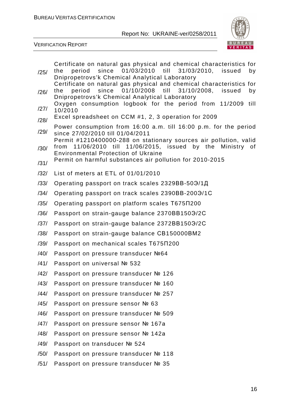

|      | Certificate on natural gas physical and chemical characteristics for                                                                       |
|------|--------------------------------------------------------------------------------------------------------------------------------------------|
| /25/ | the period since 01/03/2010 till 31/03/2010, issued<br>by<br>Dnipropetrovs'k Chemical Analytical Laboratory                                |
| /26/ | Certificate on natural gas physical and chemical characteristics for<br>period since 01/10/2008 till<br>31/10/2008,<br>issued<br>the<br>by |
|      | Dnipropetrovs'k Chemical Analytical Laboratory                                                                                             |
| /27/ | Oxygen consumption logbook for the period from 11/2009<br>till<br>10/2010                                                                  |
| /28/ | Excel spreadsheet on CCM #1, 2, 3 operation for 2009                                                                                       |
| /29/ | Power consumption from 16:00 a.m. till 16:00 p.m. for the period<br>since 27/02/2010 till 01/04/2011                                       |
| /30/ | Permit #1210400000-288 on stationary sources air pollution, valid<br>from 11/06/2010 till 11/06/2015, issued by the Ministry<br>0f         |
|      | <b>Environmental Protection of Ukraine</b>                                                                                                 |
| /31/ | Permit on harmful substances air pollution for 2010-2015                                                                                   |
| /32/ | List of meters at ETL of 01/01/2010                                                                                                        |
| /33/ | Operating passport on track scales 2329BB-50Э/1Д                                                                                           |
| /34/ | Operating passport on track scales 2390BB-2003/1C                                                                                          |
| /35/ | Operating passport on platform scales T675N200                                                                                             |
| /36/ | Passport on strain-gauge balance 2370BB1509/2C                                                                                             |
| /37/ | Passport on strain-gauge balance 2372BB1509/2C                                                                                             |
| /38/ | Passport on strain-gauge balance CB150000BM2                                                                                               |
| /39/ | Passport on mechanical scales T675N200                                                                                                     |
| /40/ | Passport on pressure transducer №64                                                                                                        |
| /41/ | Passport on universal № 532                                                                                                                |
| /42/ | Passport on pressure transducer № 126                                                                                                      |
| /43/ | Passport on pressure transducer № 160                                                                                                      |
| /44/ | Passport on pressure transducer № 257                                                                                                      |
| /45/ | Passport on pressure sensor № 63                                                                                                           |
| /46/ | Passport on pressure transducer № 509                                                                                                      |
| /47/ | Passport on pressure sensor № 167a                                                                                                         |
| /48/ | Passport on pressure sensor № 142a                                                                                                         |
| /49/ | Passport on transducer № 524                                                                                                               |
| /50/ | Passport on pressure transducer № 118                                                                                                      |
| /51/ | Passport on pressure transducer № 35                                                                                                       |
|      |                                                                                                                                            |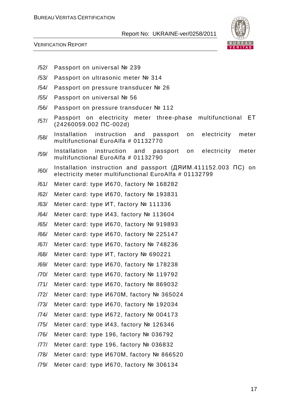

- /52/ Passport on universal № 239
- /53/ Passport on ultrasonic meter № 314
- /54/ Passport on pressure transducer № 26
- /55/ Passport on universal № 56
- /56/ Passport on pressure transducer № 112
- /57/ Passport on electricity meter three-phase multifunctional ET (24260059.002 ПС-002d)
- /58/ Installation instruction and passport on electricity meter multifunctional EuroAlfa # 01132770
- /59/ Installation instruction and passport on electricity meter multifunctional EuroAlfa # 01132790
- /60/ Installation instruction and passport (ДЯИМ.411152.003 ПС) on electricity meter multifunctional EuroAlfa # 01132799
- /61/ Meter card: type И670, factory № 168282
- /62/ Meter card: type И670, factory № 193831
- /63/ Meter card: type ИТ, factory № 111336
- /64/ Meter card: type И43, factory № 113604
- /65/ Meter card: type И670, factory № 919893
- /66/ Meter card: type И670, factory № 225147
- /67/ Meter card: type И670, factory № 748236
- /68/ Meter card: type ИТ, factory № 690221
- /69/ Meter card: type И670, factory № 178238
- /70/ Meter card: type И670, factory № 119792
- /71/ Meter card: type И670, factory № 869032
- /72/ Meter card: type И670М, factory № 365024
- /73/ Meter card: type И670, factory № 192034
- /74/ Meter card: type И672, factory № 004173
- /75/ Meter card: type И43, factory № 126346
- /76/ Meter card: type 196, factory № 036792
- /77/ Meter card: type 196, factory № 036832
- /78/ Meter card: type И670М, factory № 866520
- /79/ Meter card: type И670, factory № 306134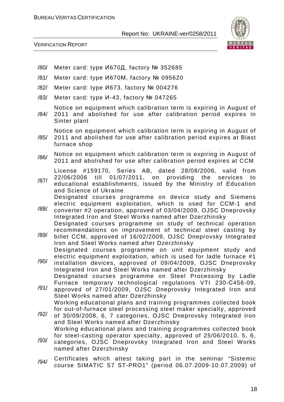

VERIFICATION REPORT

- /80/ Meter card: type И670Д, factory № 352685
- /81/ Meter card: type И670М, factory № 095620
- /82/ Meter card: type И673, factory № 004276
- /83/ Meter card: type И-43, factory № 047265

Notice on equipment which calibration term is expiring in August of

/84/ 2011 and abolished for use after calibration period expires in Sinter plant

Notice on equipment which calibration term is expiring in August of

- /85/ 2011 and abolished for use after calibration period expires at Blast furnace shop
- /86/ Notice on equipment which calibration term is expiring in August of 2011 and abolished for use after calibration period expires at CCM

License #159170, Series AB, dated 28/08/2006, valid from

- /87/ 22/06/2006 till 01/07/2011, on providing the services to educational establishments, issued by the Ministry of Education and Science of Ukraine Designated courses programme on device study and Siemens
- /88/ electric equipment exploitation, which is used for CCM-1 and converter #2 operation, approved of 03/04/2009, OJSC Dneprovsky Integrated Iron and Steel Works named after Dzerzhinsky Designated courses programme on study of technical operation recommendations on improvement of technical steel casting by
- /89/ billet CCM, approved of 16/02/2009, OJSC Dneprovsky Integrated Iron and Steel Works named after Dzerzhinsky Designated courses programme on unit equipment study and
- /90/ electric equipment exploitation, which is used for ladle furnace #1 installation devices, approved of 09/04/2009, OJSC Dneprovsky Integrated Iron and Steel Works named after Dzerzhinsky Designated courses programme on Steel Processing by Ladle Furnace temporary technological regulations VTI 230-С456-09,
- /91/ approved of 27/01/2009, OJSC Dneprovsky Integrated Iron and Steel Works named after Dzerzhinsky Working educational plans and training programmes collected book
- /92/ for out-of-furnace steel processing steel maker specialty, approved of 30/09/2008, 6, 7 categories, OJSC Dneprovsky Integrated Iron and Steel Works named after Dzerzhinsky Working educational plans and training programmes collected book
- /93/ for steel-casting operator specialty, approved of 25/06/2010, 5, 6, categories, OJSC Dneprovsky Integrated Iron and Steel Works named after Dzerzhinsky
- /94/ Certificates which attest taking part in the seminar "Sistemic course SIMATIC S7 ST-PRO1" (period 06.07.2009-10.07.2009) of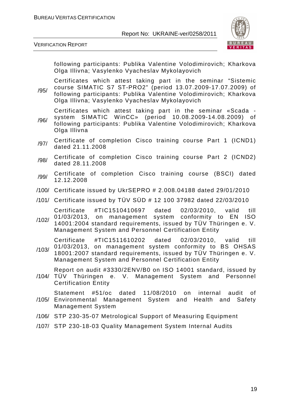

VERIFICATION REPORT

following participants: Publika Valentine Volodimirovich; Kharkova Olga Illivna; Vasylenko Vyacheslav Mykolayovich

/95/ Certificates which attest taking part in the seminar "Sistemic course SIMATIC S7 ST-PRO2" (period 13.07.2009-17.07.2009) of following participants: Publika Valentine Volodimirovich; Kharkova Olga Illivna; Vasylenko Vyacheslav Mykolayovich

Certificates which attest taking part in the seminar «Scada -

- /96/ system SIMATIC WinCC» (period 10.08.2009-14.08.2009) of following participants: Publika Valentine Volodimirovich; Kharkova Olga Illivna
- /97/ Certificate of completion Cisco training course Part 1 (ICND1) dated 21.11.2008
- /98/ Certificate of completion Cisco training course Part 2 (ICND2) dated 28.11.2008
- /99/ Certificate of completion Cisco training course (BSCI) dated 12.12.2008
- /100/ Certificate issued by UkrSEPRO # 2.008.04188 dated 29/01/2010
- /101/ Certificate issued by TÜV SÜD # 12 100 37982 dated 22/03/2010

Certificate #TIC1510410697 dated 02/03/2010, valid till 01/03/2013, on management system conformity to EN ISO

/102/ 14001:2004 standard requirements, issued by TÜV Thüringen e. V. Management System and Personnel Certification Entity

Certificate #TIC1511610202 dated 02/03/2010, valid till 01/03/2013, on management system conformity to BS OHSAS

/103/ 18001:2007 standard requirements, issued by TÜV Thüringen e. V. Management System and Personnel Certification Entity

Report on audit #3330/2ENV/B0 on ISO 14001 standard, issued by

/104/ TÜV Thüringen e. V. Management System and Personnel Certification Entity

/105/ Environmental Management System and Health and Safety Statement #51/ос dated 11/08/2010 on internal audit of Management System

- /106/ STP 230-35-07 Metrological Support of Measuring Equipment
- /107/ STP 230-18-03 Quality Management System Internal Audits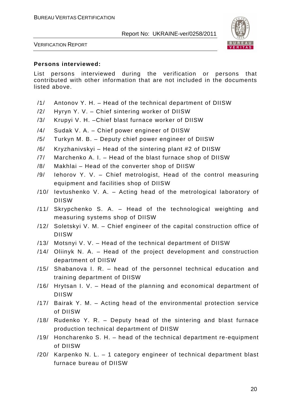

VERIFICATION REPORT

#### **Persons interviewed:**

List persons interviewed during the verification or persons that contributed with other information that are not included in the documents listed above.

- /1/ Antonov Y. H. Head of the technical department of DIISW
- /2/ Hyryn Y. V. Chief sintering worker of DIISW
- /3/ Krupyi V. H. –Chief blast furnace worker of DIISW
- /4/ Sudak V. A. Chief power engineer of DIISW
- /5/ Turkyn M. B. Deputy chief power engineer of DIISW
- /6/ Kryzhanivskyi Head of the sintering plant #2 of DIISW
- /7/ Marchenko A. I. Head of the blast furnace shop of DIISW
- /8/ Makhlai Head of the converter shop of DIISW
- /9/ Iehorov Y. V. Chief metrologist, Head of the control measuring equipment and facilities shop of DIISW
- /10/ Ievtushenko V. A. Acting head of the metrological laboratory of DIISW
- /11/ Skrypchenko S. A. Head of the technological weighting and measuring systems shop of DIISW
- /12/ Soletskyi V. M. Chief engineer of the capital construction office of DIISW
- /13/ Motsnyi V. V. Head of the technical department of DIISW
- /14/ Oliinyk N. A. Head of the project development and construction department of DIISW
- /15/ Shabanova I. R. head of the personnel technical education and training department of DIISW
- /16/ Hrytsan I. V. Head of the planning and economical department of DIISW
- /17/ Bairak Y. M. Acting head of the environmental protection service of DIISW
- /18/ Rudenko Y. R. Deputy head of the sintering and blast furnace production technical department of DIISW
- /19/ Honcharenko S. H. head of the technical department re-equipment of DIISW
- /20/ Karpenko N. L. 1 category engineer of technical department blast furnace bureau of DIISW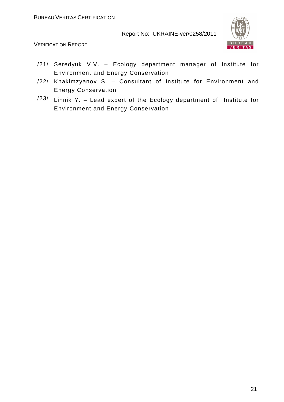

- /21/ Seredyuk V.V. Ecology department manager of Institute for Environment and Energy Conservation
- /22/ Khakimzyanov S. Consultant of Institute for Environment and Energy Conservation
- /23/ Linnik Y. Lead expert of the Ecology department of Institute for Environment and Energy Conservation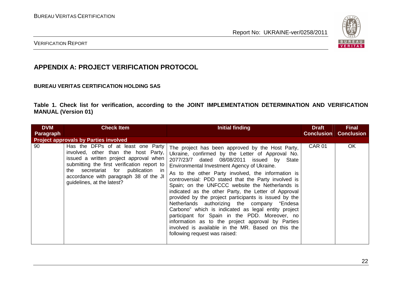

#### VERIFICATION REPORT

# **APPENDIX A: PROJECT VERIFICATION PROTOCOL**

#### **BUREAU VERITAS CERTIFICATION HOLDING SAS**

**Table 1. Check list for verification, according to the JOINT IMPLEMENTATION DETERMINATION AND VERIFICATION MANUAL (Version 01)** 

| <b>DVM</b> | <b>Check Item</b>                                                                                                                                                                                                                                                                                                                 | Initial finding                                                                                                                                                                                                                                                                                                                                                                                                            | <b>Draft</b>      | <b>Final</b>      |
|------------|-----------------------------------------------------------------------------------------------------------------------------------------------------------------------------------------------------------------------------------------------------------------------------------------------------------------------------------|----------------------------------------------------------------------------------------------------------------------------------------------------------------------------------------------------------------------------------------------------------------------------------------------------------------------------------------------------------------------------------------------------------------------------|-------------------|-------------------|
| Paragraph  |                                                                                                                                                                                                                                                                                                                                   |                                                                                                                                                                                                                                                                                                                                                                                                                            | <b>Conclusion</b> | <b>Conclusion</b> |
| 90         | <b>Project approvals by Parties involved</b><br>Has the DFPs of at least one Party<br>involved, other than the host Party,<br>issued a written project approval when<br>submitting the first verification report to<br>the secretariat for publication in<br>accordance with paragraph 38 of the JI<br>guidelines, at the latest? | The project has been approved by the Host Party,<br>Ukraine, confirmed by the Letter of Approval No.<br>2077/23/7 dated 08/08/2011 issued by State<br>Environmental Investment Agency of Ukraine.<br>As to the other Party involved, the information is<br>controversial: PDD stated that the Party involved is<br>Spain; on the UNFCCC website the Netherlands is<br>indicated as the other Party, the Letter of Approval | <b>CAR 01</b>     | <b>OK</b>         |
|            |                                                                                                                                                                                                                                                                                                                                   | provided by the project participants is issued by the<br>Netherlands authorizing the company "Endesa<br>Carbono" which is indicated as legal entity project<br>participant for Spain in the PDD. Moreover, no<br>information as to the project approval by Parties<br>involved is available in the MR. Based on this the<br>following request was raised:                                                                  |                   |                   |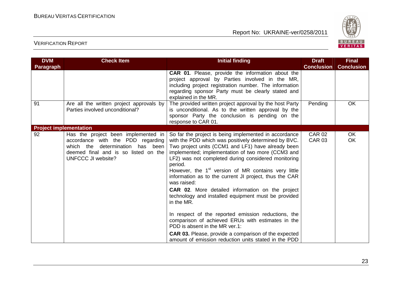

| <b>DVM</b>                    | <b>Check Item</b>                                                                                                                                                                    | <b>Initial finding</b>                                                                                                                                                                                                                                                                                                                                                                                                                                                                                                                                                                                                        | <b>Draft</b>                   | <b>Final</b>           |
|-------------------------------|--------------------------------------------------------------------------------------------------------------------------------------------------------------------------------------|-------------------------------------------------------------------------------------------------------------------------------------------------------------------------------------------------------------------------------------------------------------------------------------------------------------------------------------------------------------------------------------------------------------------------------------------------------------------------------------------------------------------------------------------------------------------------------------------------------------------------------|--------------------------------|------------------------|
| <b>Paragraph</b>              |                                                                                                                                                                                      |                                                                                                                                                                                                                                                                                                                                                                                                                                                                                                                                                                                                                               | <b>Conclusion</b>              | <b>Conclusion</b>      |
|                               |                                                                                                                                                                                      | CAR 01. Please, provide the information about the<br>project approval by Parties involved in the MR,<br>including project registration number. The information<br>regarding sponsor Party must be clearly stated and<br>explained in the MR.                                                                                                                                                                                                                                                                                                                                                                                  |                                |                        |
| 91                            | Are all the written project approvals by<br>Parties involved unconditional?                                                                                                          | The provided written project approval by the host Party<br>is unconditional. As to the written approval by the<br>sponsor Party the conclusion is pending on the<br>response to CAR 01.                                                                                                                                                                                                                                                                                                                                                                                                                                       | Pending                        | <b>OK</b>              |
| <b>Project implementation</b> |                                                                                                                                                                                      |                                                                                                                                                                                                                                                                                                                                                                                                                                                                                                                                                                                                                               |                                |                        |
| 92                            | Has the project been implemented in<br>accordance with the PDD regarding<br>which the<br>determination has been<br>deemed final and is so listed on the<br><b>UNFCCC JI website?</b> | So far the project is being implemented in accordance<br>with the PDD which was positively determined by BVC.<br>Two project units (CCM1 and LF1) have already been<br>implemented; implementation of two more (CCM3 and<br>LF2) was not completed during considered monitoring<br>period.<br>However, the 1 <sup>st</sup> version of MR contains very little<br>information as to the current JI project, thus the CAR<br>was raised:<br><b>CAR 02.</b> More detailed information on the project<br>technology and installed equipment must be provided<br>in the MR.<br>In respect of the reported emission reductions, the | <b>CAR 02</b><br><b>CAR 03</b> | <b>OK</b><br><b>OK</b> |
|                               |                                                                                                                                                                                      | comparison of achieved ERUs with estimates in the<br>PDD is absent in the MR ver.1:<br><b>CAR 03.</b> Please, provide a comparison of the expected<br>amount of emission reduction units stated in the PDD                                                                                                                                                                                                                                                                                                                                                                                                                    |                                |                        |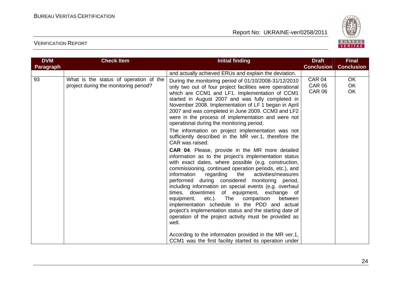

| <b>DVM</b><br><b>Paragraph</b> | <b>Check Item</b>                                                               | <b>Initial finding</b>                                                                                                                                                                                                                                                                                                                                                                                                                                                                                                                                                                                                                                                                                                                                                                                                                                                                                                                                                                                                                                                                                                                                                                                                                                                                                                     | <b>Draft</b><br><b>Conclusion</b>               | <b>Final</b><br><b>Conclusion</b>   |
|--------------------------------|---------------------------------------------------------------------------------|----------------------------------------------------------------------------------------------------------------------------------------------------------------------------------------------------------------------------------------------------------------------------------------------------------------------------------------------------------------------------------------------------------------------------------------------------------------------------------------------------------------------------------------------------------------------------------------------------------------------------------------------------------------------------------------------------------------------------------------------------------------------------------------------------------------------------------------------------------------------------------------------------------------------------------------------------------------------------------------------------------------------------------------------------------------------------------------------------------------------------------------------------------------------------------------------------------------------------------------------------------------------------------------------------------------------------|-------------------------------------------------|-------------------------------------|
|                                |                                                                                 | and actually achieved ERUs and explain the deviation.                                                                                                                                                                                                                                                                                                                                                                                                                                                                                                                                                                                                                                                                                                                                                                                                                                                                                                                                                                                                                                                                                                                                                                                                                                                                      |                                                 |                                     |
| 93                             | What is the status of operation of the<br>project during the monitoring period? | During the monitoring period of 01/10/2008-31/12/2010<br>only two out of four project facilities were operational<br>which are CCM1 and LF1. Implementation of CCM1<br>started in August 2007 and was fully completed in<br>November 2008. Implementation of LF 1 began in April<br>2007 and was completed in June 2009. CCM3 and LF2<br>were in the process of implementation and were not<br>operational during the monitoring period.<br>The information on project implementation was not<br>sufficiently described in the MR ver.1, therefore the<br>CAR was raised:<br><b>CAR 04.</b> Please, provide in the MR more detailed<br>information as to the project's implementation status<br>with exact dates, where possible (e.g. construction,<br>commissioning, continued operation periods, etc.), and<br>information<br>regarding<br>activities/measures<br>the<br>performed during considered monitoring period,<br>including information on special events (e.g. overhaul<br>times, downtimes of equipment, exchange of<br>equipment, etc.). The comparison<br>between<br>implementation schedule in the PDD and actual<br>project's implementation status and the starting date of<br>operation of the project activity must be provided as<br>well.<br>According to the information provided in the MR ver.1, | <b>CAR 04</b><br><b>CAR 05</b><br><b>CAR 06</b> | <b>OK</b><br><b>OK</b><br><b>OK</b> |
|                                |                                                                                 | CCM1 was the first facility started its operation under                                                                                                                                                                                                                                                                                                                                                                                                                                                                                                                                                                                                                                                                                                                                                                                                                                                                                                                                                                                                                                                                                                                                                                                                                                                                    |                                                 |                                     |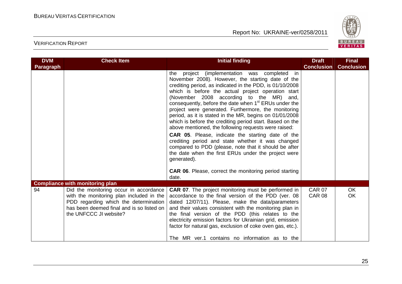

| <b>DVM</b>       | <b>Check Item</b>                                                                                                                                                                                                                            | <b>Initial finding</b>                                                                                                                                                                                                                                                                                                                                                                                                                                                                                                                                                                                                                                                                                                                                                                                                                                                                                     | <b>Draft</b><br><b>Conclusion</b> | <b>Final</b><br><b>Conclusion</b> |
|------------------|----------------------------------------------------------------------------------------------------------------------------------------------------------------------------------------------------------------------------------------------|------------------------------------------------------------------------------------------------------------------------------------------------------------------------------------------------------------------------------------------------------------------------------------------------------------------------------------------------------------------------------------------------------------------------------------------------------------------------------------------------------------------------------------------------------------------------------------------------------------------------------------------------------------------------------------------------------------------------------------------------------------------------------------------------------------------------------------------------------------------------------------------------------------|-----------------------------------|-----------------------------------|
| <b>Paragraph</b> |                                                                                                                                                                                                                                              | in<br>project (implementation was completed<br>the<br>November 2008). However, the starting date of the<br>crediting period, as indicated in the PDD, is 01/10/2008<br>which is before the actual project operation start<br>(November 2008 according to the MR) and,<br>consequently, before the date when 1 <sup>st</sup> ERUs under the<br>project were generated. Furthermore, the monitoring<br>period, as it is stated in the MR, begins on 01/01/2008<br>which is before the crediting period start. Based on the<br>above mentioned, the following requests were raised:<br><b>CAR 05.</b> Please, indicate the starting date of the<br>crediting period and state whether it was changed<br>compared to PDD (please, note that it should be after<br>the date when the first ERUs under the project were<br>generated).<br><b>CAR 06.</b> Please, correct the monitoring period starting<br>date. |                                   |                                   |
| 94               | <b>Compliance with monitoring plan</b><br>Did the monitoring occur in accordance<br>with the monitoring plan included in the<br>PDD regarding which the determination<br>has been deemed final and is so listed on<br>the UNFCCC JI website? | <b>CAR 07.</b> The project monitoring must be performed in<br>accordance to the final version of the PDD (ver. 08<br>dated 12/07/11). Please, make the data/parameters<br>and their values consistent with the monitoring plan in<br>the final version of the PDD (this relates to the<br>electricity emission factors for Ukrainian grid, emission<br>factor for natural gas, exclusion of coke oven gas, etc.).<br>The MR ver.1 contains no information as to the                                                                                                                                                                                                                                                                                                                                                                                                                                        | <b>CAR 07</b><br><b>CAR 08</b>    | <b>OK</b><br><b>OK</b>            |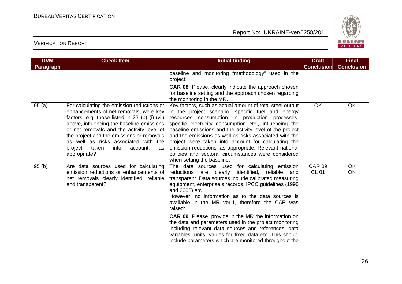

| <b>DVM</b> | <b>Check Item</b>                                                                                                                                                                                                                                                                                                                                                                   | <b>Initial finding</b>                                                                                                                                                                                                                                                                                                                                                                                                                                                                                                                                                                                                                                                         | <b>Draft</b>                  | <b>Final</b>           |
|------------|-------------------------------------------------------------------------------------------------------------------------------------------------------------------------------------------------------------------------------------------------------------------------------------------------------------------------------------------------------------------------------------|--------------------------------------------------------------------------------------------------------------------------------------------------------------------------------------------------------------------------------------------------------------------------------------------------------------------------------------------------------------------------------------------------------------------------------------------------------------------------------------------------------------------------------------------------------------------------------------------------------------------------------------------------------------------------------|-------------------------------|------------------------|
| Paragraph  |                                                                                                                                                                                                                                                                                                                                                                                     |                                                                                                                                                                                                                                                                                                                                                                                                                                                                                                                                                                                                                                                                                | <b>Conclusion</b>             | <b>Conclusion</b>      |
|            |                                                                                                                                                                                                                                                                                                                                                                                     | baseline and monitoring "methodology" used in the<br>project:                                                                                                                                                                                                                                                                                                                                                                                                                                                                                                                                                                                                                  |                               |                        |
|            |                                                                                                                                                                                                                                                                                                                                                                                     | <b>CAR 08.</b> Please, clearly indicate the approach chosen<br>for baseline setting and the approach chosen regarding<br>the monitoring in the MR.                                                                                                                                                                                                                                                                                                                                                                                                                                                                                                                             |                               |                        |
| 95(a)      | For calculating the emission reductions or<br>enhancements of net removals, were key<br>factors, e.g. those listed in 23 (b) (i)-(vii)<br>above, influencing the baseline emissions<br>or net removals and the activity level of<br>the project and the emissions or removals<br>as well as risks associated with the<br>project<br>taken<br>into<br>account,<br>as<br>appropriate? | Key factors, such as actual amount of total steel output<br>in the project scenario, specific fuel and energy<br>resources consumption in production processes,<br>specific electricity consumption etc., influencing the<br>baseline emissions and the activity level of the project<br>and the emissions as well as risks associated with the<br>project were taken into account for calculating the<br>emission reductions, as appropriate. Relevant national<br>policies and sectoral circumstances were considered<br>when setting the baseline.                                                                                                                          | <b>OK</b>                     | <b>OK</b>              |
| 95(b)      | Are data sources used for calculating<br>emission reductions or enhancements of<br>net removals clearly identified, reliable<br>and transparent?                                                                                                                                                                                                                                    | The data sources used for calculating emission<br>reliable<br>reductions are<br>clearly<br>identified,<br>and<br>transparent. Data sources include calibrated measuring<br>equipment, enterprise's records, IPCC guidelines (1996)<br>and 2006) etc.<br>However, no information as to the data sources is<br>available in the MR ver.1, therefore the CAR was<br>raised:<br><b>CAR 09.</b> Please, provide in the MR the information on<br>the data and parameters used in the project monitoring<br>including relevant data sources and references, data<br>variables, units, values for fixed data etc. This should<br>include parameters which are monitored throughout the | <b>CAR 09</b><br><b>CL 01</b> | <b>OK</b><br><b>OK</b> |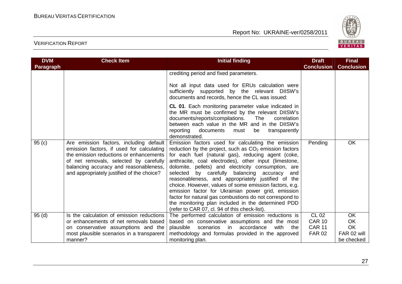

| <b>DVM</b> | <b>Check Item</b>                                                                                                                                                                                                                                                 | <b>Initial finding</b>                                                                                                                                                                                                                                                                                                                                                                                                                                                                                                                                                                                                                                                          | <b>Draft</b>                                                    | <b>Final</b>                                                     |
|------------|-------------------------------------------------------------------------------------------------------------------------------------------------------------------------------------------------------------------------------------------------------------------|---------------------------------------------------------------------------------------------------------------------------------------------------------------------------------------------------------------------------------------------------------------------------------------------------------------------------------------------------------------------------------------------------------------------------------------------------------------------------------------------------------------------------------------------------------------------------------------------------------------------------------------------------------------------------------|-----------------------------------------------------------------|------------------------------------------------------------------|
| Paragraph  |                                                                                                                                                                                                                                                                   |                                                                                                                                                                                                                                                                                                                                                                                                                                                                                                                                                                                                                                                                                 | <b>Conclusion</b>                                               | <b>Conclusion</b>                                                |
|            |                                                                                                                                                                                                                                                                   | crediting period and fixed parameters.<br>Not all input data used for ERUs calculation were<br>sufficiently supported by the relevant DIISW's<br>documents and records, hence the CL was issued:                                                                                                                                                                                                                                                                                                                                                                                                                                                                                |                                                                 |                                                                  |
|            |                                                                                                                                                                                                                                                                   | CL 01. Each monitoring parameter value indicated in<br>the MR must be confirmed by the relevant DIISW's<br>documents/reports/compilations.<br>The<br>correlation<br>between each value in the MR and in the DIISW's<br>reporting documents<br>must<br>be<br>transparently<br>demonstrated.                                                                                                                                                                                                                                                                                                                                                                                      |                                                                 |                                                                  |
| 95(c)      | Are emission factors, including default<br>emission factors, if used for calculating<br>the emission reductions or enhancements<br>of net removals, selected by carefully<br>balancing accuracy and reasonableness,<br>and appropriately justified of the choice? | Emission factors used for calculating the emission<br>reduction by the project, such as $CO2$ emission factors<br>for each fuel (natural gas), reducing agent (coke,<br>anthracite, coal electrodes), other input (limestone,<br>dolomite, pellets) and electricity consumption, are<br>selected by carefully balancing accuracy<br>and<br>reasonableness, and appropriately justified of the<br>choice. However, values of some emission factors, e.g.<br>emission factor for Ukrainian power grid, emission<br>factor for natural gas combustions do not correspond to<br>the monitoring plan included in the determined PDD<br>(refer to CAR 07, cl. 94 of this check-list). | Pending                                                         | <b>OK</b>                                                        |
| 95(d)      | Is the calculation of emission reductions<br>or enhancements of net removals based<br>on conservative assumptions and the<br>most plausible scenarios in a transparent<br>manner?                                                                                 | The performed calculation of emission reductions is<br>based on conservative assumptions and the most<br>with<br>plausible<br>scenarios<br>accordance<br>in<br>the<br>methodology and formulas provided in the approved<br>monitoring plan.                                                                                                                                                                                                                                                                                                                                                                                                                                     | <b>CL 02</b><br><b>CAR 10</b><br><b>CAR 11</b><br><b>FAR 02</b> | <b>OK</b><br><b>OK</b><br><b>OK</b><br>FAR 02 will<br>be checked |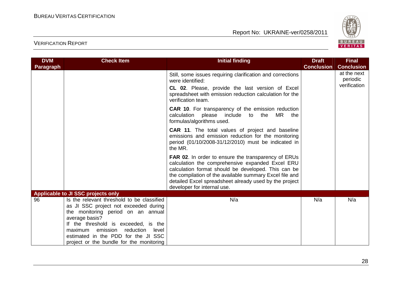

| <b>Check Item</b>                                                                                                                                                                                                                                                    | <b>Initial finding</b>                                                                                                                                                                                                                                                                                                    | <b>Draft</b>      | <b>Final</b>                            |
|----------------------------------------------------------------------------------------------------------------------------------------------------------------------------------------------------------------------------------------------------------------------|---------------------------------------------------------------------------------------------------------------------------------------------------------------------------------------------------------------------------------------------------------------------------------------------------------------------------|-------------------|-----------------------------------------|
|                                                                                                                                                                                                                                                                      |                                                                                                                                                                                                                                                                                                                           | <b>Conclusion</b> | <b>Conclusion</b>                       |
|                                                                                                                                                                                                                                                                      | Still, some issues requiring clarification and corrections<br>were identified:<br><b>CL 02.</b> Please, provide the last version of Excel<br>spreadsheet with emission reduction calculation for the<br>verification team.                                                                                                |                   | at the next<br>periodic<br>verification |
|                                                                                                                                                                                                                                                                      | <b>CAR 10.</b> For transparency of the emission reduction<br>calculation please include to the<br>MR.<br>the<br>formulas/algorithms used.                                                                                                                                                                                 |                   |                                         |
|                                                                                                                                                                                                                                                                      | <b>CAR 11.</b> The total values of project and baseline<br>emissions and emission reduction for the monitoring<br>period (01/10/2008-31/12/2010) must be indicated in<br>the MR.                                                                                                                                          |                   |                                         |
|                                                                                                                                                                                                                                                                      | <b>FAR 02.</b> In order to ensure the transparency of ERUs<br>calculation the comprehensive expanded Excel ERU<br>calculation format should be developed. This can be<br>the compilation of the available summary Excel file and<br>detailed Excel spreadsheet already used by the project<br>developer for internal use. |                   |                                         |
| Applicable to JI SSC projects only                                                                                                                                                                                                                                   |                                                                                                                                                                                                                                                                                                                           |                   |                                         |
| Is the relevant threshold to be classified<br>as JI SSC project not exceeded during<br>the monitoring period on an annual<br>average basis?<br>If the threshold is exceeded, is the<br>maximum emission<br>reduction<br>level<br>estimated in the PDD for the JI SSC | N/a                                                                                                                                                                                                                                                                                                                       | N/a               | N/a                                     |
|                                                                                                                                                                                                                                                                      | project or the bundle for the monitoring                                                                                                                                                                                                                                                                                  |                   |                                         |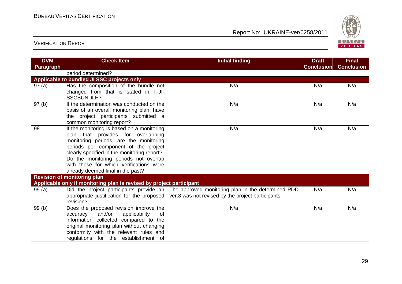

| <b>DVM</b>        | <b>Check Item</b>                                                                | <b>Initial finding</b>                             | <b>Draft</b>      | <b>Final</b>      |
|-------------------|----------------------------------------------------------------------------------|----------------------------------------------------|-------------------|-------------------|
| Paragraph         |                                                                                  |                                                    | <b>Conclusion</b> | <b>Conclusion</b> |
|                   | period determined?                                                               |                                                    |                   |                   |
|                   | Applicable to bundled JI SSC projects only                                       |                                                    |                   |                   |
| 97(a)             | Has the composition of the bundle not                                            | N/a                                                | N/a               | N/a               |
|                   | changed from that is stated in F-JI-<br>SSCBUNDLE?                               |                                                    |                   |                   |
| 97 <sub>(b)</sub> | If the determination was conducted on the                                        | N/a                                                | N/a               | N/a               |
|                   | basis of an overall monitoring plan, have                                        |                                                    |                   |                   |
|                   | the project participants submitted a                                             |                                                    |                   |                   |
|                   | common monitoring report?                                                        |                                                    |                   |                   |
| 98                | If the monitoring is based on a monitoring                                       | N/a                                                | N/a               | N/a               |
|                   | plan that provides for overlapping                                               |                                                    |                   |                   |
|                   | monitoring periods, are the monitoring                                           |                                                    |                   |                   |
|                   | periods per component of the project                                             |                                                    |                   |                   |
|                   | clearly specified in the monitoring report?                                      |                                                    |                   |                   |
|                   | Do the monitoring periods not overlap<br>with those for which verifications were |                                                    |                   |                   |
|                   |                                                                                  |                                                    |                   |                   |
|                   | already deemed final in the past?                                                |                                                    |                   |                   |
|                   | <b>Revision of monitoring plan</b>                                               |                                                    |                   |                   |
|                   | Applicable only if monitoring plan is revised by project participant             |                                                    |                   |                   |
| 99(a)             | Did the project participants provide an                                          | The approved monitoring plan in the determined PDD | N/a               | N/a               |
|                   | appropriate justification for the proposed<br>revision?                          | ver.8 was not revised by the project participants. |                   |                   |
| 99(b)             | Does the proposed revision improve the                                           | N/a                                                | N/a               | N/a               |
|                   | and/or<br>applicability<br>accuracy<br>0f                                        |                                                    |                   |                   |
|                   | information collected compared to the                                            |                                                    |                   |                   |
|                   | original monitoring plan without changing                                        |                                                    |                   |                   |
|                   | conformity with the relevant rules and                                           |                                                    |                   |                   |
|                   | regulations for the establishment of                                             |                                                    |                   |                   |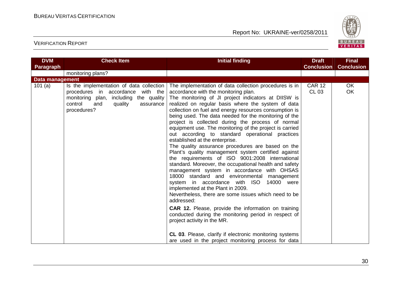

| <b>DVM</b><br>Paragraph | <b>Check Item</b>                                                                                                                                                                   | <b>Initial finding</b>                                                                                                                                                                                                                                                                                                                                                                                                                                                                                                                                                                                                                                                                                                                                                                                                                                                                                                                                                                                                                                                                                                                                                                                                                                                                  | <b>Draft</b><br><b>Conclusion</b> | <b>Final</b><br><b>Conclusion</b> |
|-------------------------|-------------------------------------------------------------------------------------------------------------------------------------------------------------------------------------|-----------------------------------------------------------------------------------------------------------------------------------------------------------------------------------------------------------------------------------------------------------------------------------------------------------------------------------------------------------------------------------------------------------------------------------------------------------------------------------------------------------------------------------------------------------------------------------------------------------------------------------------------------------------------------------------------------------------------------------------------------------------------------------------------------------------------------------------------------------------------------------------------------------------------------------------------------------------------------------------------------------------------------------------------------------------------------------------------------------------------------------------------------------------------------------------------------------------------------------------------------------------------------------------|-----------------------------------|-----------------------------------|
|                         | monitoring plans?                                                                                                                                                                   |                                                                                                                                                                                                                                                                                                                                                                                                                                                                                                                                                                                                                                                                                                                                                                                                                                                                                                                                                                                                                                                                                                                                                                                                                                                                                         |                                   |                                   |
| <b>Data management</b>  |                                                                                                                                                                                     |                                                                                                                                                                                                                                                                                                                                                                                                                                                                                                                                                                                                                                                                                                                                                                                                                                                                                                                                                                                                                                                                                                                                                                                                                                                                                         |                                   |                                   |
| 101(a)                  | Is the implementation of data collection<br>procedures in accordance<br>with the<br>monitoring plan, including the quality<br>control<br>quality<br>and<br>assurance<br>procedures? | The implementation of data collection procedures is in<br>accordance with the monitoring plan.<br>The monitoring of JI project indicators at DIISW is<br>realized on regular basis where the system of data<br>collection on fuel and energy resources consumption is<br>being used. The data needed for the monitoring of the<br>project is collected during the process of normal<br>equipment use. The monitoring of the project is carried<br>out according to standard operational practices<br>established at the enterprise.<br>The quality assurance procedures are based on the<br>Plant's quality management system certified against<br>the requirements of ISO 9001:2008 international<br>standard. Moreover, the occupational health and safety<br>management system in accordance with OHSAS<br>18000 standard and environmental management<br>system in accordance with ISO 14000 were<br>implemented at the Plant in 2009.<br>Nevertheless, there are some issues which need to be<br>addressed:<br><b>CAR 12.</b> Please, provide the information on training<br>conducted during the monitoring period in respect of<br>project activity in the MR.<br>CL 03. Please, clarify if electronic monitoring systems<br>are used in the project monitoring process for data | <b>CAR 12</b><br><b>CL 03</b>     | <b>OK</b><br>OK                   |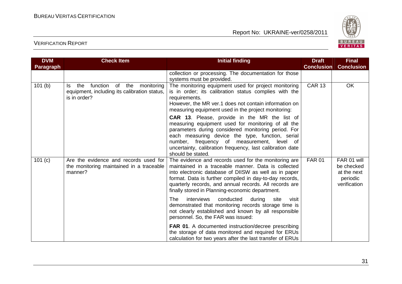

| <b>DVM</b> | <b>Check Item</b>                                                                                              | <b>Initial finding</b>                                                                                                                                                                                                                                                                                                                                | <b>Draft</b>      | <b>Final</b>                                                         |
|------------|----------------------------------------------------------------------------------------------------------------|-------------------------------------------------------------------------------------------------------------------------------------------------------------------------------------------------------------------------------------------------------------------------------------------------------------------------------------------------------|-------------------|----------------------------------------------------------------------|
| Paragraph  |                                                                                                                |                                                                                                                                                                                                                                                                                                                                                       | <b>Conclusion</b> | <b>Conclusion</b>                                                    |
|            |                                                                                                                | collection or processing. The documentation for those<br>systems must be provided.                                                                                                                                                                                                                                                                    |                   |                                                                      |
| 101(b)     | function<br>of the<br>monitoring<br>the<br>Is.<br>equipment, including its calibration status,<br>is in order? | The monitoring equipment used for project monitoring<br>is in order; its calibration status complies with the<br>requirements.<br>However, the MR ver.1 does not contain information on<br>measuring equipment used in the project monitoring:                                                                                                        | <b>CAR 13</b>     | <b>OK</b>                                                            |
|            |                                                                                                                | <b>CAR 13.</b> Please, provide in the MR the list of<br>measuring equipment used for monitoring of all the<br>parameters during considered monitoring period. For<br>each measuring device the type, function, serial<br>number, frequency of measurement, level of<br>uncertainty, calibration frequency, last calibration date<br>should be stated. |                   |                                                                      |
| 101 (c)    | Are the evidence and records used for<br>the monitoring maintained in a traceable<br>manner?                   | The evidence and records used for the monitoring are<br>maintained in a traceable manner. Data is collected<br>into electronic database of DIISW as well as in paper<br>format. Data is further compiled in day-to-day records,<br>quarterly records, and annual records. All records are<br>finally stored in Planning-economic department.          | <b>FAR 01</b>     | FAR 01 will<br>be checked<br>at the next<br>periodic<br>verification |
|            |                                                                                                                | conducted<br>interviews<br>The<br>during<br>site<br>visit<br>demonstrated that monitoring records storage time is<br>not clearly established and known by all responsible<br>personnel. So, the FAR was issued:                                                                                                                                       |                   |                                                                      |
|            |                                                                                                                | FAR 01. A documented instruction/decree prescribing<br>the storage of data monitored and required for ERUs<br>calculation for two years after the last transfer of ERUs                                                                                                                                                                               |                   |                                                                      |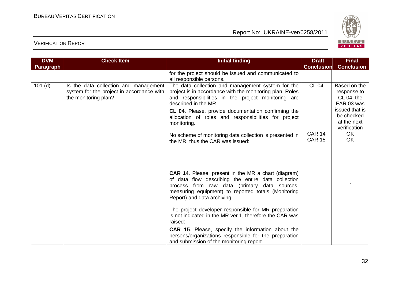

| <b>DVM</b> | <b>Check Item</b>                                                                                          | <b>Initial finding</b>                                                                                                                                                                                                                                                                                                                                                                                                                                                                                                                                | <b>Draft</b>                   | <b>Final</b>                                                |
|------------|------------------------------------------------------------------------------------------------------------|-------------------------------------------------------------------------------------------------------------------------------------------------------------------------------------------------------------------------------------------------------------------------------------------------------------------------------------------------------------------------------------------------------------------------------------------------------------------------------------------------------------------------------------------------------|--------------------------------|-------------------------------------------------------------|
| Paragraph  |                                                                                                            |                                                                                                                                                                                                                                                                                                                                                                                                                                                                                                                                                       | <b>Conclusion</b>              | <b>Conclusion</b>                                           |
|            |                                                                                                            | for the project should be issued and communicated to<br>all responsible persons.                                                                                                                                                                                                                                                                                                                                                                                                                                                                      |                                |                                                             |
| $101$ (d)  | Is the data collection and management<br>system for the project in accordance with<br>the monitoring plan? | The data collection and management system for the<br>project is in accordance with the monitoring plan. Roles<br>and responsibilities in the project monitoring are<br>described in the MR.                                                                                                                                                                                                                                                                                                                                                           | <b>CL 04</b>                   | Based on the<br>response to<br>$CL 04$ , the<br>FAR 03 was  |
|            |                                                                                                            | CL 04. Please, provide documentation confirming the<br>allocation of roles and responsibilities for project<br>monitoring.                                                                                                                                                                                                                                                                                                                                                                                                                            |                                | issued that is<br>be checked<br>at the next<br>verification |
|            |                                                                                                            | No scheme of monitoring data collection is presented in<br>the MR, thus the CAR was issued:                                                                                                                                                                                                                                                                                                                                                                                                                                                           | <b>CAR 14</b><br><b>CAR 15</b> | <b>OK</b><br><b>OK</b>                                      |
|            |                                                                                                            | <b>CAR 14.</b> Please, present in the MR a chart (diagram)<br>of data flow describing the entire data collection<br>process from raw data (primary data sources,<br>measuring equipment) to reported totals (Monitoring<br>Report) and data archiving.<br>The project developer responsible for MR preparation<br>is not indicated in the MR ver.1, therefore the CAR was<br>raised:<br><b>CAR 15.</b> Please, specify the information about the<br>persons/organizations responsible for the preparation<br>and submission of the monitoring report. |                                |                                                             |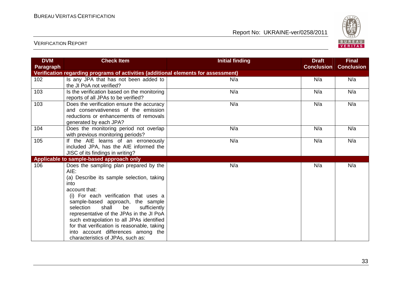

| <b>DVM</b> | <b>Check Item</b>                                                                                                                                                                                                                                                                                                                                                                                                                                                 | <b>Initial finding</b> | <b>Draft</b>      | <b>Final</b>      |
|------------|-------------------------------------------------------------------------------------------------------------------------------------------------------------------------------------------------------------------------------------------------------------------------------------------------------------------------------------------------------------------------------------------------------------------------------------------------------------------|------------------------|-------------------|-------------------|
| Paragraph  |                                                                                                                                                                                                                                                                                                                                                                                                                                                                   |                        | <b>Conclusion</b> | <b>Conclusion</b> |
|            | Verification regarding programs of activities (additional elements for assessment)                                                                                                                                                                                                                                                                                                                                                                                |                        |                   |                   |
| 102        | Is any JPA that has not been added to                                                                                                                                                                                                                                                                                                                                                                                                                             | N/a                    | N/a               | N/a               |
|            | the JI PoA not verified?                                                                                                                                                                                                                                                                                                                                                                                                                                          |                        |                   |                   |
| 103        | Is the verification based on the monitoring<br>reports of all JPAs to be verified?                                                                                                                                                                                                                                                                                                                                                                                | N/a                    | N/a               | N/a               |
| 103        | Does the verification ensure the accuracy<br>and conservativeness of the emission<br>reductions or enhancements of removals<br>generated by each JPA?                                                                                                                                                                                                                                                                                                             | N/a                    | N/a               | N/a               |
| 104        | Does the monitoring period not overlap<br>with previous monitoring periods?                                                                                                                                                                                                                                                                                                                                                                                       | N/a                    | N/a               | N/a               |
| 105        | If the AIE learns of an erroneously<br>included JPA, has the AIE informed the<br>JISC of its findings in writing?                                                                                                                                                                                                                                                                                                                                                 | N/a                    | N/a               | N/a               |
|            | Applicable to sample-based approach only                                                                                                                                                                                                                                                                                                                                                                                                                          |                        |                   |                   |
| 106        | Does the sampling plan prepared by the<br>AIE:<br>(a) Describe its sample selection, taking<br>into<br>account that:<br>(i) For each verification that uses a<br>sample-based approach, the sample<br>be<br>selection<br>shall<br>sufficiently<br>representative of the JPAs in the JI PoA<br>such extrapolation to all JPAs identified<br>for that verification is reasonable, taking<br>into account differences among the<br>characteristics of JPAs, such as: | N/a                    | N/a               | N/a               |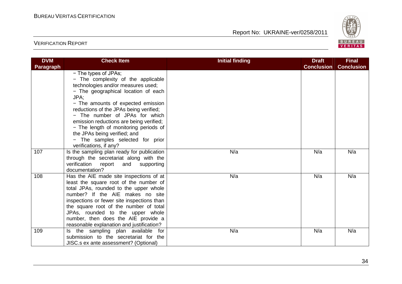

| <b>DVM</b>       | <b>Check Item</b>                                                                                                                                                                                                                                                                                                                                                                                                                                   | <b>Initial finding</b> | <b>Draft</b>      | <b>Final</b><br><b>Conclusion</b> |
|------------------|-----------------------------------------------------------------------------------------------------------------------------------------------------------------------------------------------------------------------------------------------------------------------------------------------------------------------------------------------------------------------------------------------------------------------------------------------------|------------------------|-------------------|-----------------------------------|
| <b>Paragraph</b> | - The types of JPAs;<br>- The complexity of the applicable<br>technologies and/or measures used;<br>- The geographical location of each<br>JPA:<br>- The amounts of expected emission<br>reductions of the JPAs being verified;<br>- The number of JPAs for which<br>emission reductions are being verified;<br>- The length of monitoring periods of<br>the JPAs being verified; and<br>- The samples selected for prior<br>verifications, if any? |                        | <b>Conclusion</b> |                                   |
| 107              | Is the sampling plan ready for publication<br>through the secretariat along with the<br>verification report<br>and<br>supporting<br>documentation?                                                                                                                                                                                                                                                                                                  | N/a                    | N/a               | N/a                               |
| 108              | Has the AIE made site inspections of at<br>least the square root of the number of<br>total JPAs, rounded to the upper whole<br>number? If the AIE makes no site<br>inspections or fewer site inspections than<br>the square root of the number of total<br>JPAs, rounded to the upper whole<br>number, then does the AIE provide a<br>reasonable explanation and justification?                                                                     | N/a                    | N/a               | N/a                               |
| 109              | Is the sampling plan available for<br>submission to the secretariat for the<br>JISC.s ex ante assessment? (Optional)                                                                                                                                                                                                                                                                                                                                | N/a                    | N/a               | N/a                               |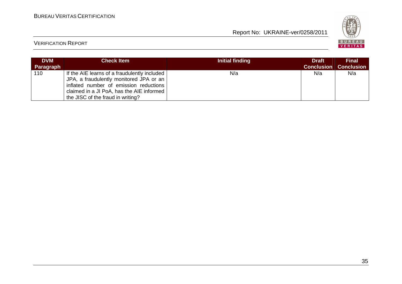

| <b>DVM</b><br>Paragraph | <b>Check Item</b>                                                                                                                                                                                                   | Initial finding | <b>Draft</b><br><b>Conclusion</b> | <b>Final</b><br><b>Conclusion</b> |
|-------------------------|---------------------------------------------------------------------------------------------------------------------------------------------------------------------------------------------------------------------|-----------------|-----------------------------------|-----------------------------------|
| 110                     | If the AIE learns of a fraudulently included<br>JPA, a fraudulently monitored JPA or an<br>inflated number of emission reductions<br>claimed in a JI PoA, has the AIE informed<br>the JISC of the fraud in writing? | N/a             | N/a                               | N/a                               |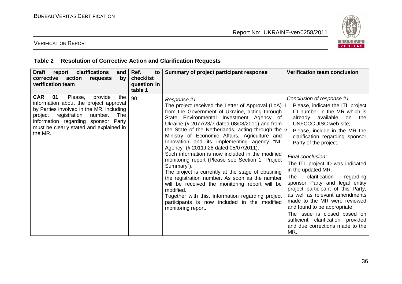

### VERIFICATION REPORT

#### **Table 2 Resolution of Corrective Action and Clarification Requests**

| <b>Draft</b><br>clarifications<br>report<br>and<br>corrective action<br>requests<br>by<br>verification team                                                                                                                                                                    | Ref.<br>to<br>checklist<br>question in<br>table 1 | Summary of project participant response                                                                                                                                                                                                                                                                                                                                                                                                                                                                                                                                                                                                                                                                                                                                                                                                                                                             | Verification team conclusion                                                                                                                                                                                                                                                                                                                                                                                                                                                                                                                                                                                                                  |
|--------------------------------------------------------------------------------------------------------------------------------------------------------------------------------------------------------------------------------------------------------------------------------|---------------------------------------------------|-----------------------------------------------------------------------------------------------------------------------------------------------------------------------------------------------------------------------------------------------------------------------------------------------------------------------------------------------------------------------------------------------------------------------------------------------------------------------------------------------------------------------------------------------------------------------------------------------------------------------------------------------------------------------------------------------------------------------------------------------------------------------------------------------------------------------------------------------------------------------------------------------------|-----------------------------------------------------------------------------------------------------------------------------------------------------------------------------------------------------------------------------------------------------------------------------------------------------------------------------------------------------------------------------------------------------------------------------------------------------------------------------------------------------------------------------------------------------------------------------------------------------------------------------------------------|
| <b>CAR</b><br>provide<br>Please,<br>01.<br>the<br>information about the project approval<br>by Parties involved in the MR, including<br>registration<br>project<br>number.<br>The<br>information regarding sponsor Party<br>must be clearly stated and explained in<br>the MR. | 90                                                | Response #1:<br>The project received the Letter of Approval (LoA)  1. Please, indicate the ITL project<br>from the Government of Ukraine, acting through<br>State Environmental Investment Agency of<br>Ukraine (# 2077/23/7 dated 08/08/2011) and from<br>the State of the Netherlands, acting through the $\vert$ <sub>2</sub> .<br>Ministry of Economic Affairs, Agriculture and<br>Innovation and its implementing agency "NL<br>Agency" (# 2011JI28 dated 05/07/2011).<br>Such information is now included in the modified<br>monitoring report (Please see Section 1 "Project<br>Summary").<br>The project is currently at the stage of obtaining<br>the registration number. As soon as the number<br>will be received the monitoring report will be<br>modified.<br>Together with this, information regarding project<br>participants is now included in the modified<br>monitoring report. | Conclusion of response #1:<br>ID number in the MR which is<br>already available<br>the<br><b>on</b><br><b>UNFCCC JISC web-site;</b><br>Please, include in the MR the<br>clarification regarding sponsor<br>Party of the project.<br>Final conclusion:<br>The ITL project ID was indicated<br>in the updated MR.<br>clarification<br>The<br>regarding<br>sponsor Party and legal entity<br>project participant of this Party,<br>as well as relevant amendments<br>made to the MR were reviewed<br>and found to be appropriate.<br>The issue is closed based on<br>sufficient clarification provided<br>and due corrections made to the<br>MR. |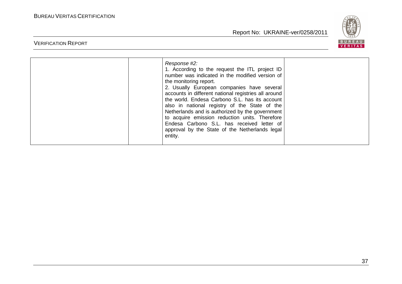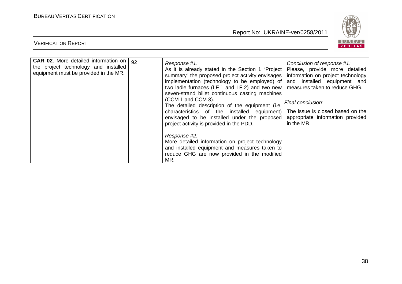

| <b>CAR 02.</b> More detailed information on<br>92<br>the project technology and installed<br>equipment must be provided in the MR. | Response #1:<br>As it is already stated in the Section 1 "Project<br>summary" the proposed project activity envisages  <br>implementation (technology to be employed) of<br>two ladle furnaces (LF 1 and LF 2) and two new   measures taken to reduce GHG.<br>seven-strand billet continuous casting machines<br>(CCM 1 and CCM 3).<br>The detailed description of the equipment (i.e.<br>characteristics of the installed equipment)   The issue is closed based on the<br>envisaged to be installed under the proposed<br>project activity is provided in the PDD.<br>Response #2:<br>More detailed information on project technology<br>and installed equipment and measures taken to<br>reduce GHG are now provided in the modified<br>MR. | Conclusion of response #1:<br>Please, provide more detailed<br>information on project technology<br>and installed equipment and<br>Final conclusion:<br>appropriate information provided<br>in the MR. |
|------------------------------------------------------------------------------------------------------------------------------------|------------------------------------------------------------------------------------------------------------------------------------------------------------------------------------------------------------------------------------------------------------------------------------------------------------------------------------------------------------------------------------------------------------------------------------------------------------------------------------------------------------------------------------------------------------------------------------------------------------------------------------------------------------------------------------------------------------------------------------------------|--------------------------------------------------------------------------------------------------------------------------------------------------------------------------------------------------------|
|------------------------------------------------------------------------------------------------------------------------------------|------------------------------------------------------------------------------------------------------------------------------------------------------------------------------------------------------------------------------------------------------------------------------------------------------------------------------------------------------------------------------------------------------------------------------------------------------------------------------------------------------------------------------------------------------------------------------------------------------------------------------------------------------------------------------------------------------------------------------------------------|--------------------------------------------------------------------------------------------------------------------------------------------------------------------------------------------------------|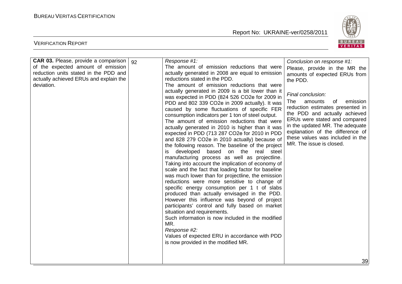

| <b>CAR 03.</b> Please, provide a comparison | 92 | Response #1:                                                                                                                                                                                                                                                                                                                                                                                                                                                                                                                                                                                                                                                                                                                                                                                                                                                                                                                                                                                                                                                                                                                                       | Conclusion on response #1:                                                                                                                                                                                                                                                                         |
|---------------------------------------------|----|----------------------------------------------------------------------------------------------------------------------------------------------------------------------------------------------------------------------------------------------------------------------------------------------------------------------------------------------------------------------------------------------------------------------------------------------------------------------------------------------------------------------------------------------------------------------------------------------------------------------------------------------------------------------------------------------------------------------------------------------------------------------------------------------------------------------------------------------------------------------------------------------------------------------------------------------------------------------------------------------------------------------------------------------------------------------------------------------------------------------------------------------------|----------------------------------------------------------------------------------------------------------------------------------------------------------------------------------------------------------------------------------------------------------------------------------------------------|
| of the expected amount of emission          |    | The amount of emission reductions that were                                                                                                                                                                                                                                                                                                                                                                                                                                                                                                                                                                                                                                                                                                                                                                                                                                                                                                                                                                                                                                                                                                        | Please, provide in the MR the                                                                                                                                                                                                                                                                      |
| reduction units stated in the PDD and       |    | actually generated in 2008 are equal to emission                                                                                                                                                                                                                                                                                                                                                                                                                                                                                                                                                                                                                                                                                                                                                                                                                                                                                                                                                                                                                                                                                                   | amounts of expected ERUs from                                                                                                                                                                                                                                                                      |
| actually achieved ERUs and explain the      |    | reductions stated in the PDD.                                                                                                                                                                                                                                                                                                                                                                                                                                                                                                                                                                                                                                                                                                                                                                                                                                                                                                                                                                                                                                                                                                                      | the PDD.                                                                                                                                                                                                                                                                                           |
| deviation.                                  |    | The amount of emission reductions that were                                                                                                                                                                                                                                                                                                                                                                                                                                                                                                                                                                                                                                                                                                                                                                                                                                                                                                                                                                                                                                                                                                        |                                                                                                                                                                                                                                                                                                    |
|                                             |    | actually generated in 2009 is a bit lower than it<br>was expected in PDD (824 526 CO2e for 2009 in<br>PDD and 802 339 CO2e in 2009 actually). It was<br>caused by some fluctuations of specific FER<br>consumption indicators per 1 ton of steel output.<br>The amount of emission reductions that were<br>actually generated in 2010 is higher than it was<br>expected in PDD (713 287 CO2e for 2010 in PDD<br>and 828 279 CO2e in 2010 actually) because of<br>the following reason. The baseline of the project<br>developed<br>based on the<br>real steel<br>İS.<br>manufacturing process as well as projectline.<br>Taking into account the implication of economy of<br>scale and the fact that loading factor for baseline<br>was much lower than for projectline, the emission<br>reductions were more sensitive to change of<br>specific energy consumption per 1 t of slabs<br>produced than actually envisaged in the PDD.<br>However this influence was beyond of project<br>participants' control and fully based on market<br>situation and requirements.<br>Such information is now included in the modified<br>MR.<br>Response #2: | Final conclusion:<br>amounts<br>emission<br>The<br>of<br>reduction estimates presented in<br>the PDD and actually achieved<br>ERUs were stated and compared<br>in the updated MR. The adequate<br>explanation of the difference of<br>these values was included in the<br>MR. The issue is closed. |
|                                             |    | Values of expected ERU in accordance with PDD<br>is now provided in the modified MR.                                                                                                                                                                                                                                                                                                                                                                                                                                                                                                                                                                                                                                                                                                                                                                                                                                                                                                                                                                                                                                                               |                                                                                                                                                                                                                                                                                                    |
|                                             |    |                                                                                                                                                                                                                                                                                                                                                                                                                                                                                                                                                                                                                                                                                                                                                                                                                                                                                                                                                                                                                                                                                                                                                    |                                                                                                                                                                                                                                                                                                    |
|                                             |    |                                                                                                                                                                                                                                                                                                                                                                                                                                                                                                                                                                                                                                                                                                                                                                                                                                                                                                                                                                                                                                                                                                                                                    | 39                                                                                                                                                                                                                                                                                                 |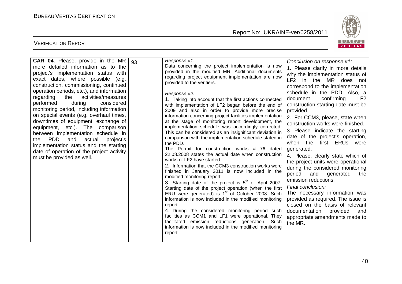

| more detailed information as to the<br>project's implementation status<br>with<br>exact dates, where possible<br>(e.g.<br>construction, commissioning, continued<br>operation periods, etc.), and information<br>activities/measures<br>regarding<br>the<br>performed<br>considered<br>during<br>monitoring period, including information<br>on special events (e.g. overhaul times,<br>downtimes of equipment, exchange of<br>equipment, etc.). The comparison<br>between implementation schedule in<br>PDD<br>and<br>actual<br>project's<br>the<br>implementation status and the starting<br>date of operation of the project activity<br>must be provided as well. |  | Data concerning the project implementation is now<br>provided in the modified MR. Additional documents<br>regarding project equipment implementation are now<br>provided to the verifiers.<br>Response #2:<br>1. Taking into account that the first actions connected<br>with implementation of LF2 began before the end of<br>2009 and also in order to provide more precise<br>information concerning project facilities implementation<br>at the stage of monitoring report development, the<br>implementation schedule was accordingly corrected.<br>This can be considered as an insignificant deviation in<br>comparison with the implementation schedule stated in<br>the PDD.<br>The Permit for construction works # 76 dated<br>22.08.2008 states the actual date when construction<br>works of LF2 have started.<br>2. Information that the CCM3 construction works were<br>finished in January 2011 is now included in the<br>modified monitoring report.<br>3. Starting date of the project is $5th$ of April 2007.<br>Starting date of the project operation (when the first<br>ERU were generated) is 1 <sup>st</sup> of October 2008. Such<br>information is now included in the modified monitoring<br>report.<br>4. During the considered monitoring period such<br>facilities as CCM1 and LF1 were operational. They<br>facilitated emission reductions generation. Such<br>information is now included in the modified monitoring<br>report. | 1. Please clarify in more details<br>why the implementation status of<br>LF2 in the MR does not<br>correspond to the implementation<br>schedule in the PDD. Also, a<br>confirming<br>LF <sub>2</sub><br>document<br>construction starting date must be<br>provided.<br>2. For CCM3, please, state when<br>construction works were finished.<br>3. Please indicate the starting<br>date of the project's operation,<br>first ERUs were<br>when the<br>generated.<br>4. Please, clearly state which of<br>the project units were operational<br>during the considered monitoring<br>and<br>generated<br>period<br>the<br>emission reductions.<br>Final conclusion:<br>The necessary information was<br>provided as required. The issue is<br>closed on the basis of relevant<br>documentation<br>provided<br>and<br>appropriate amendments made to<br>the MR. |
|-----------------------------------------------------------------------------------------------------------------------------------------------------------------------------------------------------------------------------------------------------------------------------------------------------------------------------------------------------------------------------------------------------------------------------------------------------------------------------------------------------------------------------------------------------------------------------------------------------------------------------------------------------------------------|--|-----------------------------------------------------------------------------------------------------------------------------------------------------------------------------------------------------------------------------------------------------------------------------------------------------------------------------------------------------------------------------------------------------------------------------------------------------------------------------------------------------------------------------------------------------------------------------------------------------------------------------------------------------------------------------------------------------------------------------------------------------------------------------------------------------------------------------------------------------------------------------------------------------------------------------------------------------------------------------------------------------------------------------------------------------------------------------------------------------------------------------------------------------------------------------------------------------------------------------------------------------------------------------------------------------------------------------------------------------------------------------------------------------------------------------------------------------------------|-------------------------------------------------------------------------------------------------------------------------------------------------------------------------------------------------------------------------------------------------------------------------------------------------------------------------------------------------------------------------------------------------------------------------------------------------------------------------------------------------------------------------------------------------------------------------------------------------------------------------------------------------------------------------------------------------------------------------------------------------------------------------------------------------------------------------------------------------------------|
|-----------------------------------------------------------------------------------------------------------------------------------------------------------------------------------------------------------------------------------------------------------------------------------------------------------------------------------------------------------------------------------------------------------------------------------------------------------------------------------------------------------------------------------------------------------------------------------------------------------------------------------------------------------------------|--|-----------------------------------------------------------------------------------------------------------------------------------------------------------------------------------------------------------------------------------------------------------------------------------------------------------------------------------------------------------------------------------------------------------------------------------------------------------------------------------------------------------------------------------------------------------------------------------------------------------------------------------------------------------------------------------------------------------------------------------------------------------------------------------------------------------------------------------------------------------------------------------------------------------------------------------------------------------------------------------------------------------------------------------------------------------------------------------------------------------------------------------------------------------------------------------------------------------------------------------------------------------------------------------------------------------------------------------------------------------------------------------------------------------------------------------------------------------------|-------------------------------------------------------------------------------------------------------------------------------------------------------------------------------------------------------------------------------------------------------------------------------------------------------------------------------------------------------------------------------------------------------------------------------------------------------------------------------------------------------------------------------------------------------------------------------------------------------------------------------------------------------------------------------------------------------------------------------------------------------------------------------------------------------------------------------------------------------------|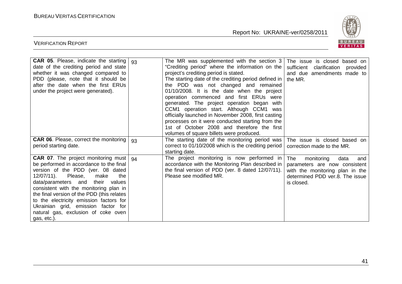

| CAR 05. Please, indicate the starting $ 93 $<br>date of the crediting period and state<br>whether it was changed compared to<br>PDD (please, note that it should be<br>after the date when the first ERUs<br>under the project were generated).                                                                                                                                                                                                          |    | The MR was supplemented with the section 3<br>"Crediting period" where the information on the<br>project's crediting period is stated.<br>The starting date of the crediting period defined in<br>the PDD was not changed and remained<br>01/10/2008. It is the date when the project<br>operation commenced and first ERUs were<br>generated. The project operation began with<br>CCM1 operation start. Although CCM1 was<br>officially launched in November 2008, first casting<br>processes on it were conducted starting from the<br>1st of October 2008 and therefore the first<br>volumes of square billets were produced. | The issue is closed based on<br>sufficient<br>clarification<br>provided<br>and due amendments made to<br>the MR.                                      |
|----------------------------------------------------------------------------------------------------------------------------------------------------------------------------------------------------------------------------------------------------------------------------------------------------------------------------------------------------------------------------------------------------------------------------------------------------------|----|----------------------------------------------------------------------------------------------------------------------------------------------------------------------------------------------------------------------------------------------------------------------------------------------------------------------------------------------------------------------------------------------------------------------------------------------------------------------------------------------------------------------------------------------------------------------------------------------------------------------------------|-------------------------------------------------------------------------------------------------------------------------------------------------------|
| CAR 06. Please, correct the monitoring<br>period starting date.                                                                                                                                                                                                                                                                                                                                                                                          | 93 | The starting date of the monitoring period was<br>correct to 01/10/2008 which is the crediting period<br>starting date.                                                                                                                                                                                                                                                                                                                                                                                                                                                                                                          | The issue is closed based on<br>correction made to the MR.                                                                                            |
| <b>CAR 07</b> . The project monitoring must $\vert$ 94<br>be performed in accordance to the final<br>version of the PDD (ver. 08 dated<br>12/07/11).<br>Please,<br>the<br>make<br>their<br>data/parameters and<br>values<br>consistent with the monitoring plan in<br>the final version of the PDD (this relates<br>to the electricity emission factors for<br>Ukrainian grid, emission factor for<br>natural gas, exclusion of coke oven<br>gas, etc.). |    | The project monitoring is now performed in<br>accordance with the Monitoring Plan described in<br>the final version of PDD (ver. 8 dated 12/07/11).<br>Please see modified MR.                                                                                                                                                                                                                                                                                                                                                                                                                                                   | monitoring<br>The<br>data<br>and<br>parameters are now consistent<br>with the monitoring plan in the<br>determined PDD ver.8. The issue<br>is closed. |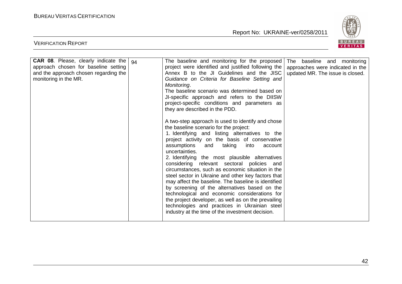VERIFICATION REPORT

Report No: UKRAINE-ver/0258/2011



| <b>CAR 08.</b> Please, clearly indicate the<br>approach chosen for baseline setting<br>and the approach chosen regarding the<br>monitoring in the MR. | 94 | The baseline and monitoring for the proposed<br>project were identified and justified following the<br>Annex B to the JI Guidelines and the JISC<br>Guidance on Criteria for Baseline Setting and<br>Monitoring.<br>The baseline scenario was determined based on<br>JI-specific approach and refers to the DIISW<br>project-specific conditions and parameters as<br>they are described in the PDD.                                                                                                                                                                                                                                                                                                                                                                                               | The baseline and monitoring<br>approaches were indicated in the<br>updated MR. The issue is closed. |
|-------------------------------------------------------------------------------------------------------------------------------------------------------|----|----------------------------------------------------------------------------------------------------------------------------------------------------------------------------------------------------------------------------------------------------------------------------------------------------------------------------------------------------------------------------------------------------------------------------------------------------------------------------------------------------------------------------------------------------------------------------------------------------------------------------------------------------------------------------------------------------------------------------------------------------------------------------------------------------|-----------------------------------------------------------------------------------------------------|
|                                                                                                                                                       |    | A two-step approach is used to identify and chose<br>the baseline scenario for the project:<br>1. Identifying and listing alternatives to the<br>project activity on the basis of conservative<br>assumptions<br>taking<br>into<br>and<br>account<br>uncertainties.<br>2. Identifying the most plausible alternatives<br>considering relevant sectoral policies and<br>circumstances, such as economic situation in the<br>steel sector in Ukraine and other key factors that<br>may affect the baseline. The baseline is identified<br>by screening of the alternatives based on the<br>technological and economic considerations for<br>the project developer, as well as on the prevailing<br>technologies and practices in Ukrainian steel<br>industry at the time of the investment decision. |                                                                                                     |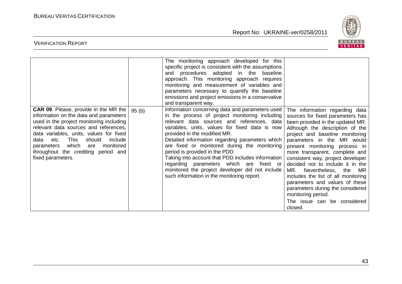

|                                                                                                                                                                                                                                                                                                                                                                                   |       | The monitoring approach developed for this<br>specific project is consistent with the assumptions<br>and procedures adopted in the baseline<br>approach. This monitoring approach requires<br>monitoring and measurement of variables and<br>parameters necessary to quantify the baseline<br>emissions and project emissions in a conservative<br>and transparent way.                                                                                                                                                                                                 |                                                                                                                                                                                                                                                                                                                                                                                                                                                                                                                                                                        |
|-----------------------------------------------------------------------------------------------------------------------------------------------------------------------------------------------------------------------------------------------------------------------------------------------------------------------------------------------------------------------------------|-------|-------------------------------------------------------------------------------------------------------------------------------------------------------------------------------------------------------------------------------------------------------------------------------------------------------------------------------------------------------------------------------------------------------------------------------------------------------------------------------------------------------------------------------------------------------------------------|------------------------------------------------------------------------------------------------------------------------------------------------------------------------------------------------------------------------------------------------------------------------------------------------------------------------------------------------------------------------------------------------------------------------------------------------------------------------------------------------------------------------------------------------------------------------|
| <b>CAR 09.</b> Please, provide in the MR the<br>information on the data and parameters<br>used in the project monitoring including<br>relevant data sources and references,<br>data variables, units, values for fixed<br><b>This</b><br>include<br>should<br>etc.<br>data<br>monitored<br>which<br>parameters<br>are<br>throughout the crediting period and<br>fixed parameters. | 95(b) | Information concerning data and parameters used<br>in the process of project monitoring including<br>relevant data sources and references, data<br>variables, units, values for fixed data is now<br>provided in the modified MR.<br>Detailed information regarding parameters which<br>are fixed or monitored during the monitoring<br>period is provided in the PDD.<br>Taking into account that PDD includes information<br>regarding parameters which are fixed or<br>monitored the project developer did not include<br>such information in the monitoring report. | The information regarding data<br>sources for fixed parameters has<br>been provided in the updated MR.<br>Although the description of the<br>project and baseline monitoring<br>parameters in the MR would<br>present monitoring process in<br>more transparent, complete and<br>consistent way, project developer<br>decided not to include it in the<br>MR.<br>Nevertheless, the<br>MR.<br>includes the list of all monitoring<br>parameters and values of these<br>parameters during the considered<br>monitoring period.<br>The issue can be considered<br>closed. |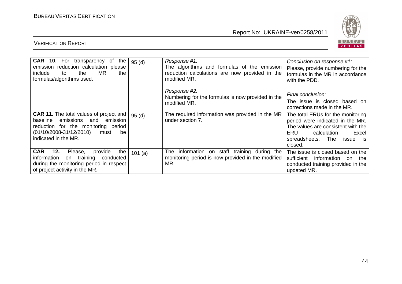

| <b>CAR 10.</b> For transparency of<br>the  <br>emission reduction calculation please<br><b>MR</b><br>include<br>the<br>the<br>to<br>formulas/algorithms used.                                  | 95(d)  | Response #1:<br>The algorithms and formulas of the emission<br>reduction calculations are now provided in the<br>modified MR. | Conclusion on response #1:<br>Please, provide numbering for the<br>formulas in the MR in accordance<br>with the PDD.                                                                          |
|------------------------------------------------------------------------------------------------------------------------------------------------------------------------------------------------|--------|-------------------------------------------------------------------------------------------------------------------------------|-----------------------------------------------------------------------------------------------------------------------------------------------------------------------------------------------|
|                                                                                                                                                                                                |        | Response #2:<br>Numbering for the formulas is now provided in the<br>modified MR.                                             | Final conclusion:<br>The issue is closed based on<br>corrections made in the MR.                                                                                                              |
| <b>CAR 11.</b> The total values of project and<br>baseline emissions and<br>emission<br>reduction for the monitoring period<br>$(01/10/2008-31/12/2010)$<br>must<br>be<br>indicated in the MR. | 95(d)  | The required information was provided in the MR<br>under section 7.                                                           | The total ERUs for the monitoring<br>period were indicated in the MR.<br>The values are consistent with the<br>ERU.<br>calculation<br>Excel<br>spreadsheets. The<br>is is<br>issue<br>closed. |
| CAR 12.<br>Please,<br>the<br>provide<br>information<br>training<br>conducted<br>on<br>during the monitoring period in respect<br>of project activity in the MR.                                | 101(a) | The information on staff training<br>during the<br>monitoring period is now provided in the modified<br>MR.                   | The issue is closed based on the<br>sufficient<br>information<br>the<br>on<br>conducted training provided in the<br>updated MR.                                                               |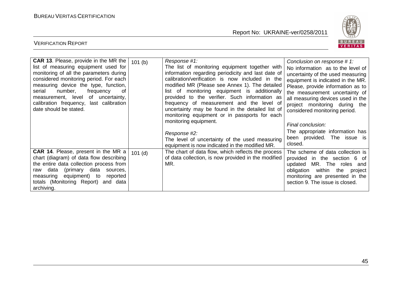

| <b>CAR 13.</b> Please, provide in the MR the<br>list of measuring equipment used for<br>monitoring of all the parameters during<br>considered monitoring period. For each  <br>measuring device the type, function,<br>number,<br>frequency<br>0f<br>serial<br>measurement, level of uncertainty,<br>calibration frequency, last calibration<br>date should be stated. | 101(b)    | Response #1:<br>The list of monitoring equipment together with<br>information regarding periodicity and last date of<br>calibration/verification is now included in the<br>modified MR (Please see Annex 1). The detailed<br>list of monitoring equipment is additionally<br>provided to the verifier. Such information as<br>frequency of measurement and the level of<br>uncertainty may be found in the detailed list of<br>monitoring equipment or in passports for each<br>monitoring equipment.<br>Response #2:<br>The level of uncertainty of the used measuring | Conclusion on response #1:<br>No information as to the level of<br>uncertainty of the used measuring<br>equipment is indicated in the MR.<br>Please, provide information as to<br>the measurement uncertainty of<br>all measuring devices used in the<br>project monitoring during the<br>considered monitoring period.<br>Final conclusion:<br>The appropriate information has<br>been provided. The issue is<br>closed. |
|------------------------------------------------------------------------------------------------------------------------------------------------------------------------------------------------------------------------------------------------------------------------------------------------------------------------------------------------------------------------|-----------|-------------------------------------------------------------------------------------------------------------------------------------------------------------------------------------------------------------------------------------------------------------------------------------------------------------------------------------------------------------------------------------------------------------------------------------------------------------------------------------------------------------------------------------------------------------------------|---------------------------------------------------------------------------------------------------------------------------------------------------------------------------------------------------------------------------------------------------------------------------------------------------------------------------------------------------------------------------------------------------------------------------|
| <b>CAR 14.</b> Please, present in the MR a<br>chart (diagram) of data flow describing<br>the entire data collection process from<br>data (primary data sources,<br>raw<br>measuring equipment) to<br>reported<br>totals (Monitoring Report) and data<br>archiving.                                                                                                     | $101$ (d) | equipment is now indicated in the modified MR.<br>The chart of data flow, which reflects the process<br>of data collection, is now provided in the modified<br>MR.                                                                                                                                                                                                                                                                                                                                                                                                      | The scheme of data collection is<br>provided in the section 6 of<br>MR. The roles and<br>updated<br>obligation within<br>the project<br>monitoring are presented in the<br>section 9. The issue is closed.                                                                                                                                                                                                                |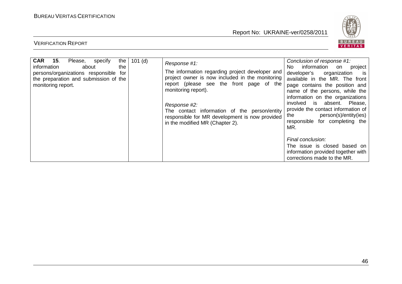

| <b>CAR</b><br>15.<br>information<br>monitoring report. | Please,<br>about<br>persons/organizations responsible for<br>the preparation and submission of the | specify | the<br>the | $101$ (d) | Response #1:<br>The information regarding project developer and<br>project owner is now included in the monitoring<br>report (please see the front page of the<br>monitoring report).<br>Response #2:<br>The contact information of the person/entity<br>responsible for MR development is now provided<br>in the modified MR (Chapter 2). | Conclusion of response #1:<br>information<br>No l<br>project<br>on<br>developer's<br>organization<br><b>is</b><br>available in the MR. The front<br>page contains the position and<br>name of the persons, while the<br>information on the organizations<br>absent. Please,<br>involved<br>is l<br>provide the contact information of<br>person(s)/entity(ies)<br>the<br>for completing the<br>responsible<br>MR. |
|--------------------------------------------------------|----------------------------------------------------------------------------------------------------|---------|------------|-----------|--------------------------------------------------------------------------------------------------------------------------------------------------------------------------------------------------------------------------------------------------------------------------------------------------------------------------------------------|-------------------------------------------------------------------------------------------------------------------------------------------------------------------------------------------------------------------------------------------------------------------------------------------------------------------------------------------------------------------------------------------------------------------|
|                                                        |                                                                                                    |         |            |           |                                                                                                                                                                                                                                                                                                                                            | Final conclusion:<br>The issue is closed based on<br>information provided together with<br>corrections made to the MR.                                                                                                                                                                                                                                                                                            |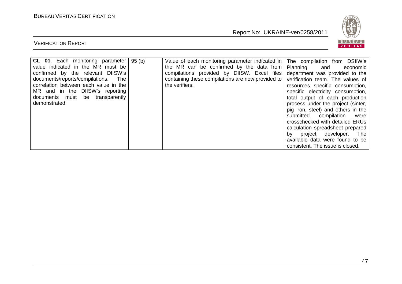

| <b>CL 01.</b> Each monitoring parameter<br>value indicated in the MR must be<br>confirmed by the relevant DIISW's<br>documents/reports/compilations.<br>The<br>correlation between each value in the<br>MR and in the DIISW's reporting<br>documents must be transparently<br>demonstrated. | 95 (b) | Value of each monitoring parameter indicated in<br>the MR can be confirmed by the data from<br>compilations provided by DIISW. Excel files<br>containing these compilations are now provided to<br>the verifiers. | The compilation from DSIIW's<br>Planning<br>and<br>economic<br>department was provided to the<br>verification team. The values of<br>resources specific consumption,<br>specific electricity consumption,<br>total output of each production<br>process under the project (sinter,<br>pig iron, steel) and others in the<br>submitted compilation<br>were<br>crosschecked with detailed ERUs<br>calculation spreadsheet prepared<br>project developer.<br>The<br>bv.<br>available data were found to be<br>consistent. The issue is closed. |
|---------------------------------------------------------------------------------------------------------------------------------------------------------------------------------------------------------------------------------------------------------------------------------------------|--------|-------------------------------------------------------------------------------------------------------------------------------------------------------------------------------------------------------------------|---------------------------------------------------------------------------------------------------------------------------------------------------------------------------------------------------------------------------------------------------------------------------------------------------------------------------------------------------------------------------------------------------------------------------------------------------------------------------------------------------------------------------------------------|
|---------------------------------------------------------------------------------------------------------------------------------------------------------------------------------------------------------------------------------------------------------------------------------------------|--------|-------------------------------------------------------------------------------------------------------------------------------------------------------------------------------------------------------------------|---------------------------------------------------------------------------------------------------------------------------------------------------------------------------------------------------------------------------------------------------------------------------------------------------------------------------------------------------------------------------------------------------------------------------------------------------------------------------------------------------------------------------------------------|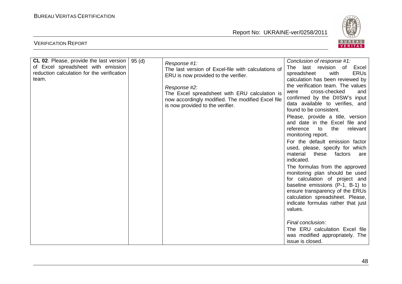

| <b>CL 02.</b> Please, provide the last version | 95 (d) | Response #1:                                        | Conclusion of response #1:                                         |
|------------------------------------------------|--------|-----------------------------------------------------|--------------------------------------------------------------------|
| of Excel spreadsheet with emission             |        | The last version of Excel-file with calculations of | last revision of<br>Excel<br>The                                   |
| reduction calculation for the verification     |        | ERU is now provided to the verifier.                | <b>ERUs</b><br>spreadsheet<br>with                                 |
| team.                                          |        |                                                     | calculation has been reviewed by                                   |
|                                                |        | Response #2:                                        | the verification team. The values                                  |
|                                                |        | The Excel spreadsheet with ERU calculation is       | cross-checked<br>were<br>and                                       |
|                                                |        | now accordingly modified. The modified Excel file   | confirmed by the DIISW's input<br>data available to verifies, and  |
|                                                |        | is now provided to the verifier.                    | found to be consistent.                                            |
|                                                |        |                                                     | Please, provide a title, version                                   |
|                                                |        |                                                     | and date in the Excel file and                                     |
|                                                |        |                                                     | reference<br>relevant<br>to<br>the<br>monitoring report.           |
|                                                |        |                                                     | For the default emission factor                                    |
|                                                |        |                                                     | used, please, specify for which                                    |
|                                                |        |                                                     | material<br>these<br>factors<br>are                                |
|                                                |        |                                                     | indicated.                                                         |
|                                                |        |                                                     | The formulas from the approved                                     |
|                                                |        |                                                     | monitoring plan should be used                                     |
|                                                |        |                                                     | for calculation of project and<br>baseline emissions (P-1, B-1) to |
|                                                |        |                                                     | ensure transparency of the ERUs                                    |
|                                                |        |                                                     | calculation spreadsheet. Please,                                   |
|                                                |        |                                                     | indicate formulas rather that just                                 |
|                                                |        |                                                     | values.                                                            |
|                                                |        |                                                     |                                                                    |
|                                                |        |                                                     | Final conclusion:                                                  |
|                                                |        |                                                     | The ERU calculation Excel file                                     |
|                                                |        |                                                     | was modified appropriately. The                                    |
|                                                |        |                                                     | issue is closed.                                                   |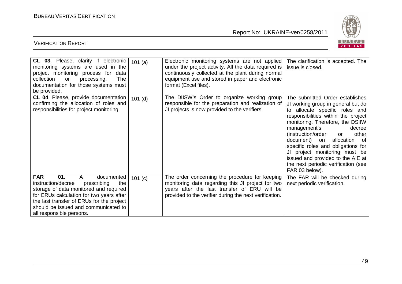

| CL 03. Please, clarify if electronic<br>monitoring systems are used in the<br>project monitoring process for<br>data<br>collection<br>The<br>or<br>processing.<br>documentation for those systems must<br>be provided.                                                                             | 101(a)  | Electronic monitoring systems are not applied<br>under the project activity. All the data required is<br>continuously collected at the plant during normal<br>equipment use and stored in paper and electronic<br>format (Excel files). | The clarification is accepted. The<br>issue is closed.                                                                                                                                                                                                                                                                                                                                                                                                      |
|----------------------------------------------------------------------------------------------------------------------------------------------------------------------------------------------------------------------------------------------------------------------------------------------------|---------|-----------------------------------------------------------------------------------------------------------------------------------------------------------------------------------------------------------------------------------------|-------------------------------------------------------------------------------------------------------------------------------------------------------------------------------------------------------------------------------------------------------------------------------------------------------------------------------------------------------------------------------------------------------------------------------------------------------------|
| CL 04. Please, provide documentation<br>confirming the allocation of roles and<br>responsibilities for project monitoring.                                                                                                                                                                         | 101(d)  | The DIISW's Order to organize working group<br>responsible for the preparation and realization of<br>JI projects is now provided to the verifiers.                                                                                      | The submitted Order establishes<br>JI working group in general but do<br>to allocate specific roles and<br>responsibilities within the project<br>monitoring. Therefore, the DSIIW<br>management's<br>decree<br>(instruction/order<br>other<br><b>or</b><br>document) on allocation of<br>specific roles and obligations for<br>JI project monitoring must be<br>issued and provided to the AIE at<br>the next periodic verification (see<br>FAR 03 below). |
| <b>FAR</b><br>01.<br>$\mathsf{A}$<br>documented<br>instruction/decree<br>prescribing<br>the<br>storage of data monitored and required<br>for ERUs calculation for two years after<br>the last transfer of ERUs for the project<br>should be issued and communicated to<br>all responsible persons. | 101 (c) | The order concerning the procedure for keeping<br>monitoring data regarding this JI project for two<br>years after the last transfer of ERU will be<br>provided to the verifier during the next verification.                           | The FAR will be checked during<br>next periodic verification.                                                                                                                                                                                                                                                                                                                                                                                               |